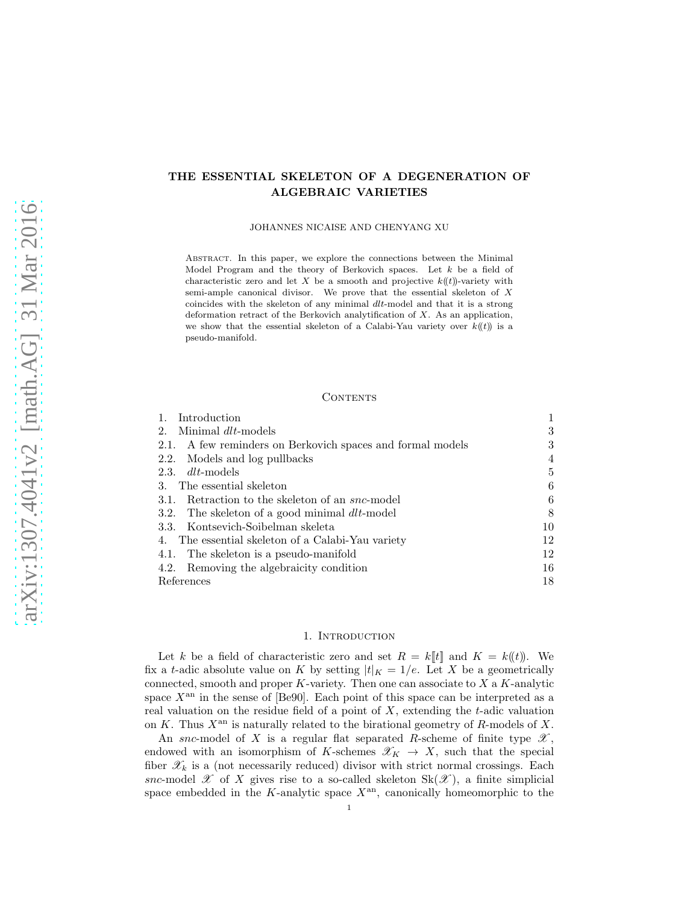# THE ESSENTIAL SKELETON OF A DEGENERATION OF ALGEBRAIC VARIETIES

JOHANNES NICAISE AND CHENYANG XU

Abstract. In this paper, we explore the connections between the Minimal Model Program and the theory of Berkovich spaces. Let  $k$  be a field of characteristic zero and let X be a smooth and projective  $k(\ell t)$ -variety with semi-ample canonical divisor. We prove that the essential skeleton of X coincides with the skeleton of any minimal dlt-model and that it is a strong deformation retract of the Berkovich analytification of X. As an application, we show that the essential skeleton of a Calabi-Yau variety over  $k(\ell)$  is a pseudo-manifold.

#### CONTENTS

| Minimal dlt-models<br>2.<br>2.1. A few reminders on Berkovich spaces and formal models<br>2.2. Models and log pullbacks<br>$2.3.$ dlt-models<br>The essential skeleton<br>3.<br>3.1. Retraction to the skeleton of an <i>snc</i> -model<br>3.2. The skeleton of a good minimal $dlt$ -model<br>3.3. Kontsevich-Soibelman skeleta<br>The essential skeleton of a Calabi-Yau variety<br>4.<br>4.1. The skeleton is a pseudo-manifold<br>4.2. Removing the algebraicity condition<br>References | Introduction |    |
|----------------------------------------------------------------------------------------------------------------------------------------------------------------------------------------------------------------------------------------------------------------------------------------------------------------------------------------------------------------------------------------------------------------------------------------------------------------------------------------------|--------------|----|
|                                                                                                                                                                                                                                                                                                                                                                                                                                                                                              |              | 3  |
|                                                                                                                                                                                                                                                                                                                                                                                                                                                                                              |              | 3  |
|                                                                                                                                                                                                                                                                                                                                                                                                                                                                                              |              | 4  |
|                                                                                                                                                                                                                                                                                                                                                                                                                                                                                              |              | 5  |
|                                                                                                                                                                                                                                                                                                                                                                                                                                                                                              |              | 6  |
|                                                                                                                                                                                                                                                                                                                                                                                                                                                                                              |              | 6  |
|                                                                                                                                                                                                                                                                                                                                                                                                                                                                                              |              | 8  |
|                                                                                                                                                                                                                                                                                                                                                                                                                                                                                              |              | 10 |
|                                                                                                                                                                                                                                                                                                                                                                                                                                                                                              |              | 12 |
|                                                                                                                                                                                                                                                                                                                                                                                                                                                                                              |              | 12 |
|                                                                                                                                                                                                                                                                                                                                                                                                                                                                                              |              | 16 |
|                                                                                                                                                                                                                                                                                                                                                                                                                                                                                              |              | 18 |

#### 1. INTRODUCTION

Let k be a field of characteristic zero and set  $R = k[[t]]$  and  $K = k((t))$ . We fix a t-adic absolute value on K by setting  $|t|_K = 1/e$ . Let X be a geometrically connected, smooth and proper  $K$ -variety. Then one can associate to  $X$  a  $K$ -analytic space  $X^{\text{an}}$  in the sense of [Be90]. Each point of this space can be interpreted as a real valuation on the residue field of a point of  $X$ , extending the  $t$ -adic valuation on K. Thus  $X^{\text{an}}$  is naturally related to the birational geometry of R-models of X.

An snc-model of X is a regular flat separated R-scheme of finite type  $\mathscr{X},$ endowed with an isomorphism of K-schemes  $\mathscr{X}_K \to X$ , such that the special fiber  $\mathscr{X}_k$  is a (not necessarily reduced) divisor with strict normal crossings. Each snc-model X of X gives rise to a so-called skeleton  $Sk(\mathscr{X})$ , a finite simplicial space embedded in the K-analytic space  $X^{\text{an}}$ , canonically homeomorphic to the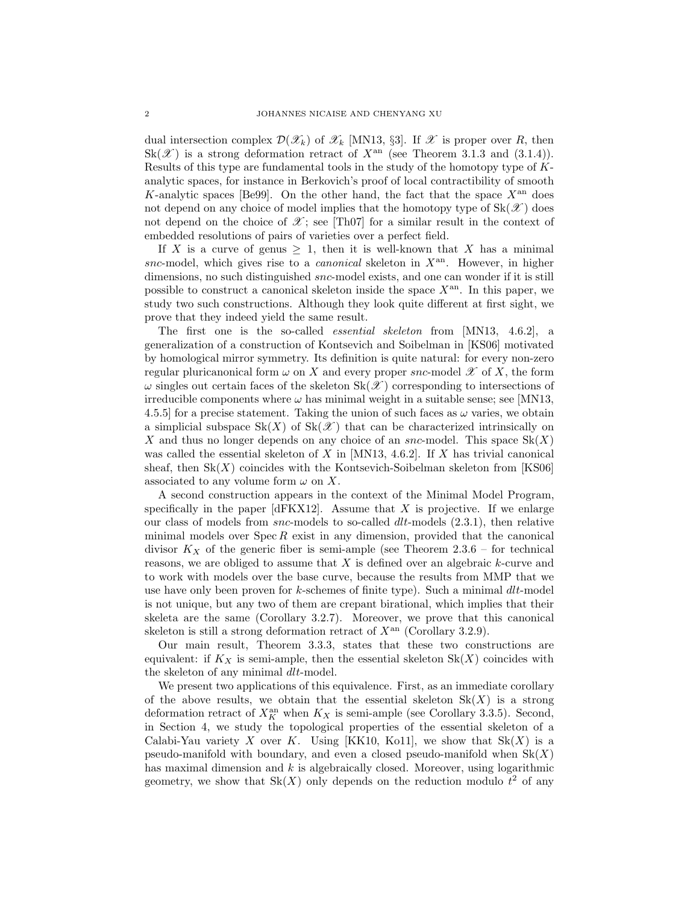dual intersection complex  $\mathcal{D}(\mathscr{X}_k)$  of  $\mathscr{X}_k$  [MN13, §3]. If  $\mathscr{X}$  is proper over R, then  $Sk(\mathscr{X})$  is a strong deformation retract of  $X^{\text{an}}$  (see Theorem 3.1.3 and (3.1.4)). Results of this type are fundamental tools in the study of the homotopy type of Kanalytic spaces, for instance in Berkovich's proof of local contractibility of smooth K-analytic spaces [Be99]. On the other hand, the fact that the space  $X<sup>an</sup>$  does not depend on any choice of model implies that the homotopy type of  $Sk(\mathscr{X})$  does not depend on the choice of  $\mathscr{X}$ ; see [Th07] for a similar result in the context of embedded resolutions of pairs of varieties over a perfect field.

If X is a curve of genus  $\geq 1$ , then it is well-known that X has a minimal snc-model, which gives rise to a *canonical* skeleton in  $X<sup>an</sup>$ . However, in higher dimensions, no such distinguished snc-model exists, and one can wonder if it is still possible to construct a canonical skeleton inside the space  $X^{an}$ . In this paper, we study two such constructions. Although they look quite different at first sight, we prove that they indeed yield the same result.

The first one is the so-called *essential skeleton* from [MN13, 4.6.2], a generalization of a construction of Kontsevich and Soibelman in [KS06] motivated by homological mirror symmetry. Its definition is quite natural: for every non-zero regular pluricanonical form  $\omega$  on X and every proper snc-model  $\mathscr X$  of X, the form  $\omega$  singles out certain faces of the skeleton Sk( $\mathscr X$ ) corresponding to intersections of irreducible components where  $\omega$  has minimal weight in a suitable sense; see [MN13, 4.5.5] for a precise statement. Taking the union of such faces as  $\omega$  varies, we obtain a simplicial subspace  $Sk(X)$  of  $Sk(\mathcal{X})$  that can be characterized intrinsically on X and thus no longer depends on any choice of an snc-model. This space  $Sk(X)$ was called the essential skeleton of X in  $|MN13, 4.6.2|$ . If X has trivial canonical sheaf, then  $Sk(X)$  coincides with the Kontsevich-Soibelman skeleton from [KS06] associated to any volume form  $\omega$  on X.

A second construction appears in the context of the Minimal Model Program, specifically in the paper  $\left[$ dFKX12 $\right]$ . Assume that X is projective. If we enlarge our class of models from  $snc$ -models to so-called  $dlt$ -models  $(2.3.1)$ , then relative minimal models over  $\text{Spec } R$  exist in any dimension, provided that the canonical divisor  $K_X$  of the generic fiber is semi-ample (see Theorem 2.3.6 – for technical reasons, we are obliged to assume that  $X$  is defined over an algebraic  $k$ -curve and to work with models over the base curve, because the results from MMP that we use have only been proven for  $k$ -schemes of finite type). Such a minimal  $dlt$ -model is not unique, but any two of them are crepant birational, which implies that their skeleta are the same (Corollary 3.2.7). Moreover, we prove that this canonical skeleton is still a strong deformation retract of  $X^{\text{an}}$  (Corollary 3.2.9).

Our main result, Theorem 3.3.3, states that these two constructions are equivalent: if  $K_X$  is semi-ample, then the essential skeleton  $Sk(X)$  coincides with the skeleton of any minimal  $dlt$ -model.

We present two applications of this equivalence. First, as an immediate corollary of the above results, we obtain that the essential skeleton  $Sk(X)$  is a strong deformation retract of  $X_K^{\text{an}}$  when  $K_X$  is semi-ample (see Corollary 3.3.5). Second, in Section 4, we study the topological properties of the essential skeleton of a Calabi-Yau variety X over K. Using [KK10, Ko11], we show that  $Sk(X)$  is a pseudo-manifold with boundary, and even a closed pseudo-manifold when  $Sk(X)$ has maximal dimension and  $k$  is algebraically closed. Moreover, using logarithmic geometry, we show that  $Sk(X)$  only depends on the reduction modulo  $t^2$  of any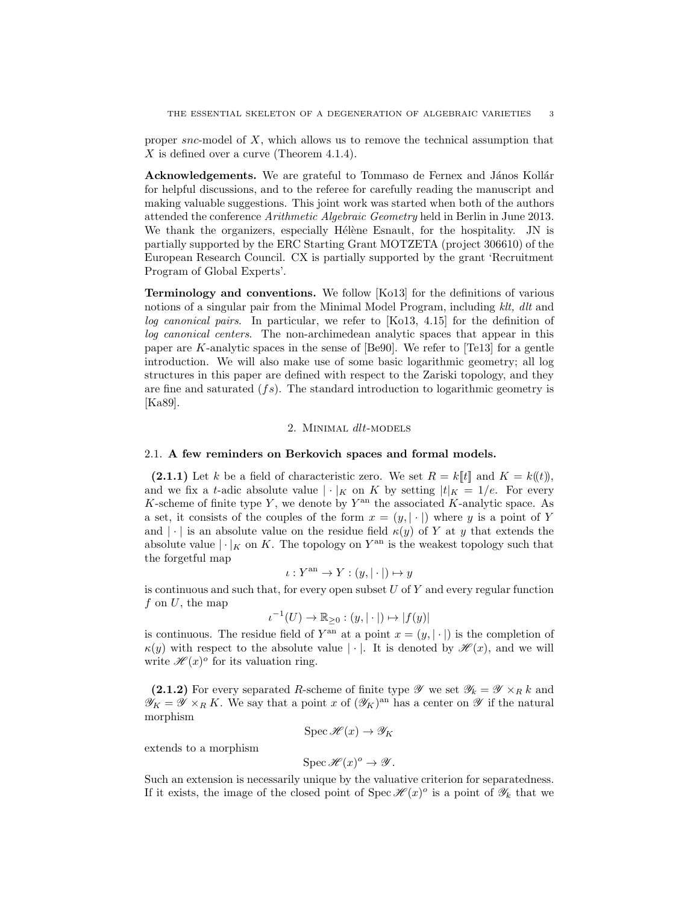proper snc-model of  $X$ , which allows us to remove the technical assumption that X is defined over a curve (Theorem 4.1.4).

Acknowledgements. We are grateful to Tommaso de Fernex and János Kollár for helpful discussions, and to the referee for carefully reading the manuscript and making valuable suggestions. This joint work was started when both of the authors attended the conference Arithmetic Algebraic Geometry held in Berlin in June 2013. We thank the organizers, especially Hélène Esnault, for the hospitality. JN is partially supported by the ERC Starting Grant MOTZETA (project 306610) of the European Research Council. CX is partially supported by the grant 'Recruitment Program of Global Experts'.

Terminology and conventions. We follow [Ko13] for the definitions of various notions of a singular pair from the Minimal Model Program, including klt, dlt and log canonical pairs. In particular, we refer to [Ko13, 4.15] for the definition of log canonical centers. The non-archimedean analytic spaces that appear in this paper are K-analytic spaces in the sense of [Be90]. We refer to [Te13] for a gentle introduction. We will also make use of some basic logarithmic geometry; all log structures in this paper are defined with respect to the Zariski topology, and they are fine and saturated  $(f_s)$ . The standard introduction to logarithmic geometry is [Ka89].

# 2. MINIMAL dlt-MODELS

#### 2.1. A few reminders on Berkovich spaces and formal models.

(2.1.1) Let k be a field of characteristic zero. We set  $R = k[[t]]$  and  $K = k((t))$ , and we fix a t-adic absolute value  $|\cdot|_K$  on K by setting  $|t|_K = 1/e$ . For every K-scheme of finite type Y, we denote by  $Y^{\text{an}}$  the associated K-analytic space. As a set, it consists of the couples of the form  $x = (y, |\cdot|)$  where y is a point of Y and |  $\cdot$  | is an absolute value on the residue field  $\kappa(y)$  of Y at y that extends the absolute value  $|\cdot|_K$  on K. The topology on  $Y^{\text{an}}$  is the weakest topology such that the forgetful map

$$
\iota: Y^{\mathrm{an}} \to Y : (y, |\cdot|) \mapsto y
$$

is continuous and such that, for every open subset  $U$  of  $Y$  and every regular function  $f$  on  $U$ , the map

$$
\iota^{-1}(U) \to \mathbb{R}_{\geq 0} : (y, |\cdot|) \mapsto |f(y)|
$$

is continuous. The residue field of  $Y^{\text{an}}$  at a point  $x = (y, |\cdot|)$  is the completion of  $\kappa(y)$  with respect to the absolute value  $|\cdot|$ . It is denoted by  $\mathscr{H}(x)$ , and we will write  $\mathscr{H}(x)$ <sup>o</sup> for its valuation ring.

(2.1.2) For every separated R-scheme of finite type  $\mathscr Y$  we set  $\mathscr Y_k = \mathscr Y \times_R k$  and  $\mathscr{Y}_K = \mathscr{Y} \times_R K$ . We say that a point x of  $(\mathscr{Y}_K)^{\text{an}}$  has a center on  $\mathscr{Y}$  if the natural morphism

$$
\operatorname{Spec} \mathscr{H}(x) \to \mathscr{Y}_K
$$

extends to a morphism

$$
\operatorname{Spec} \mathscr{H}(x)^o \to \mathscr{Y}.
$$

Such an extension is necessarily unique by the valuative criterion for separatedness. If it exists, the image of the closed point of Spec  $\mathscr{H}(x)^\circ$  is a point of  $\mathscr{Y}_k$  that we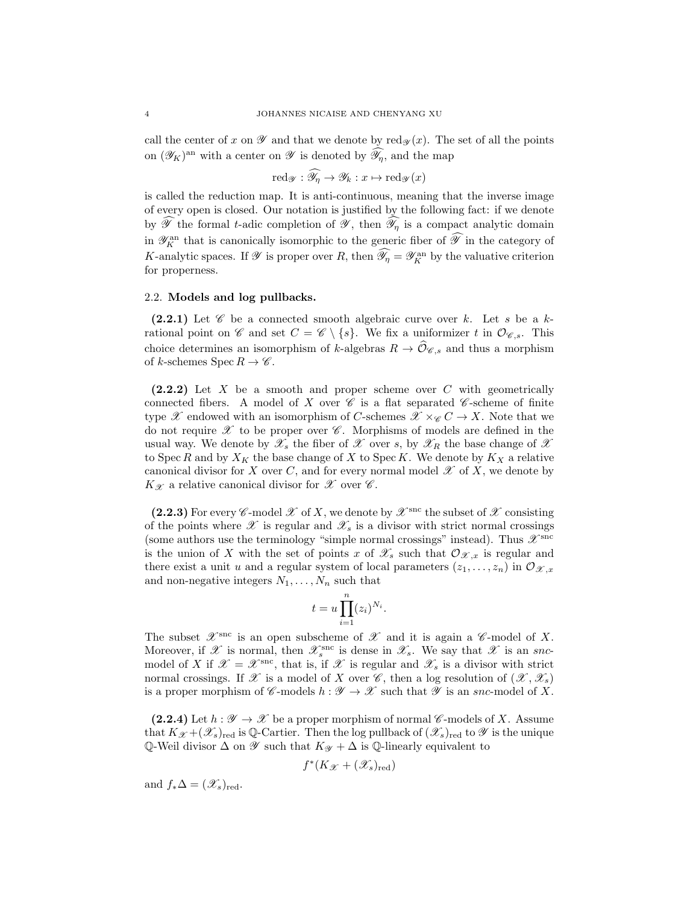call the center of x on  $\mathscr Y$  and that we denote by red $\mathscr Y(x)$ . The set of all the points on  $(\mathscr{Y}_K)$ <sup>an</sup> with a center on  $\mathscr{Y}$  is denoted by  $\widehat{\mathscr{Y}}_{\eta}$ , and the map

$$
\mathrm{red}_{\mathscr{Y}}: \widehat{\mathscr{Y}}_{\eta} \to \mathscr{Y}_k: x \mapsto \mathrm{red}_{\mathscr{Y}}(x)
$$

is called the reduction map. It is anti-continuous, meaning that the inverse image of every open is closed. Our notation is justified by the following fact: if we denote by  $\widehat{\mathscr{Y}}$  the formal t-adic completion of  $\mathscr{Y}$ , then  $\widehat{\mathscr{Y}}_n$  is a compact analytic domain in  $\mathscr{Y}_K^{\rm an}$  that is canonically isomorphic to the generic fiber of  $\widehat{\mathscr{Y}}$  in the category of K-analytic spaces. If  $\mathscr Y$  is proper over R, then  $\widehat{\mathscr D}_\eta = \mathscr Y_K^{\rm an}$  by the valuative criterion for properness.

#### 2.2. Models and log pullbacks.

(2.2.1) Let  $\mathscr C$  be a connected smooth algebraic curve over k. Let s be a krational point on  $\mathscr C$  and set  $C = \mathscr C \setminus \{s\}$ . We fix a uniformizer t in  $\mathcal O_{\mathscr C,s}$ . This choice determines an isomorphism of k-algebras  $R \to \widehat{\mathcal{O}}_{\mathscr{C},s}$  and thus a morphism of k-schemes  $\text{Spec } R \to \mathscr{C}$ .

(2.2.2) Let X be a smooth and proper scheme over C with geometrically connected fibers. A model of X over  $\mathscr C$  is a flat separated  $\mathscr C$ -scheme of finite type X endowed with an isomorphism of C-schemes  $\mathscr{X} \times_{\mathscr{C}} C \to X$ . Note that we do not require  $\mathscr X$  to be proper over  $\mathscr C$ . Morphisms of models are defined in the usual way. We denote by  $\mathscr{X}_s$  the fiber of  $\mathscr{X}$  over s, by  $\mathscr{X}_R$  the base change of  $\mathscr{X}$ to Spec R and by  $X_K$  the base change of X to Spec K. We denote by  $K_X$  a relative canonical divisor for X over C, and for every normal model  $\mathscr X$  of X, we denote by  $K_{\mathscr{X}}$  a relative canonical divisor for  $\mathscr{X}$  over  $\mathscr{C}$ .

(2.2.3) For every C-model  $\mathscr X$  of X, we denote by  $\mathscr X^{\text{snc}}$  the subset of  $\mathscr X$  consisting of the points where  $\mathscr X$  is regular and  $\mathscr X_s$  is a divisor with strict normal crossings (some authors use the terminology "simple normal crossings" instead). Thus  $\mathscr{X}^{\text{smc}}$ is the union of X with the set of points x of  $\mathscr{X}_s$  such that  $\mathcal{O}_{\mathscr{X},x}$  is regular and there exist a unit u and a regular system of local parameters  $(z_1, \ldots, z_n)$  in  $\mathcal{O}_{\mathcal{X},x}$ and non-negative integers  $N_1, \ldots, N_n$  such that

$$
t = u \prod_{i=1}^{n} (z_i)^{N_i}.
$$

The subset  $\mathscr{X}^{\text{src}}$  is an open subscheme of  $\mathscr{X}$  and it is again a  $\mathscr{C}\text{-model}$  of X. Moreover, if  $\mathscr X$  is normal, then  $\mathscr X_s^{\text{snc}}$  is dense in  $\mathscr X_s$ . We say that  $\mathscr X$  is an sncmodel of X if  $\mathscr{X} = \mathscr{X}^{\text{snc}}$ , that is, if  $\mathscr{X}$  is regular and  $\mathscr{X}_s$  is a divisor with strict normal crossings. If X is a model of X over  $\mathscr{C}$ , then a log resolution of  $(\mathscr{X}, \mathscr{X}_s)$ is a proper morphism of C-models  $h : \mathscr{Y} \to \mathscr{X}$  such that  $\mathscr{Y}$  is an snc-model of X.

(2.2.4) Let  $h : \mathscr{Y} \to \mathscr{X}$  be a proper morphism of normal  $\mathscr{C}$ -models of X. Assume that  $K_{\mathscr{X}} +(\mathscr{X}_s)_{\text{red}}$  is Q-Cartier. Then the log pullback of  $(\mathscr{X}_s)_{\text{red}}$  to  $\mathscr{Y}$  is the unique Q-Weil divisor  $\Delta$  on  $\mathscr Y$  such that  $K_{\mathscr Y}$  +  $\Delta$  is Q-linearly equivalent to

$$
f^*(K_{\mathscr{X}} + (\mathscr{X}_s)_{\mathrm{red}})
$$

and  $f_*\Delta = (\mathscr{X}_s)_{\text{red}}$ .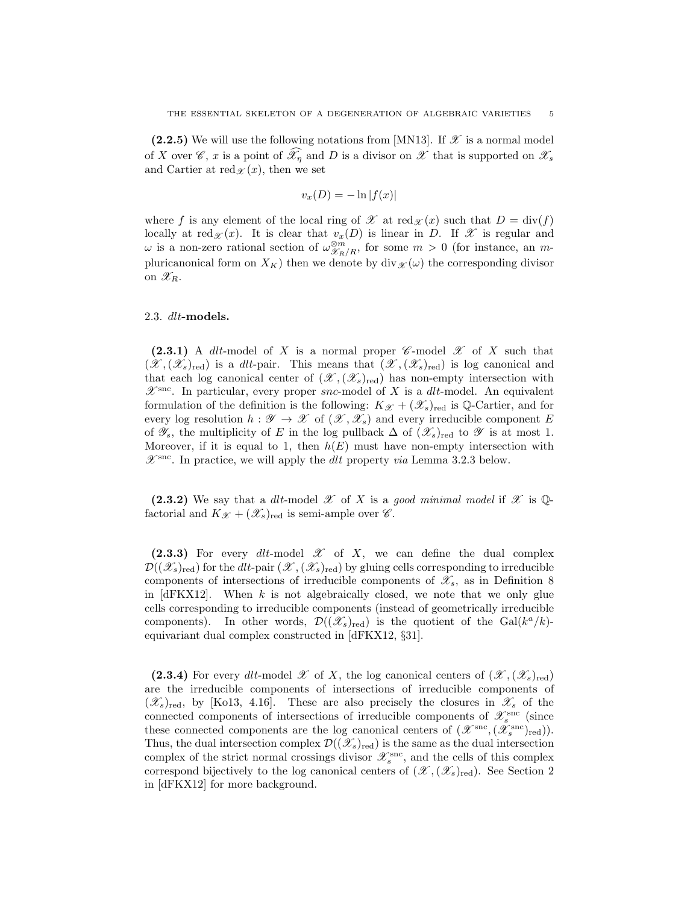(2.2.5) We will use the following notations from [MN13]. If  $\mathscr X$  is a normal model of X over  $\mathscr{C}, x$  is a point of  $\mathscr{X}_n$  and D is a divisor on  $\mathscr{X}$  that is supported on  $\mathscr{X}_s$ and Cartier at red $\chi(x)$ , then we set

$$
v_x(D) = -\ln|f(x)|
$$

where f is any element of the local ring of X at red $\chi(x)$  such that  $D = \text{div}(f)$ locally at red $\mathscr{X}(x)$ . It is clear that  $v_x(D)$  is linear in D. If  $\mathscr{X}$  is regular and  $\omega$  is a non-zero rational section of  $\omega_{\mathscr{X}_R/R}^{\otimes m}$ , for some  $m > 0$  (for instance, an mpluricanonical form on  $X_K$ ) then we denote by div $\chi(\omega)$  the corresponding divisor on  $\mathscr{X}_R$ .

## 2.3. dlt-models.

(2.3.1) A dlt-model of X is a normal proper  $\mathscr C$ -model  $\mathscr X$  of X such that  $(\mathscr{X},(\mathscr{X}_s)_{\text{red}})$  is a dlt-pair. This means that  $(\mathscr{X},(\mathscr{X}_s)_{\text{red}})$  is log canonical and that each log canonical center of  $(\mathscr{X},(\mathscr{X}_{s})_{\text{red}})$  has non-empty intersection with  $\mathscr{X}^{\text{smc}}$ . In particular, every proper snc-model of X is a dlt-model. An equivalent formulation of the definition is the following:  $K_{\mathscr{X}} + (\mathscr{X}_s)_{\text{red}}$  is Q-Cartier, and for every log resolution  $h : \mathscr{Y} \to \mathscr{X}$  of  $(\mathscr{X}, \mathscr{X}_s)$  and every irreducible component E of  $\mathscr{Y}_s$ , the multiplicity of E in the log pullback  $\Delta$  of  $(\mathscr{X}_s)_{\text{red}}$  to  $\mathscr{Y}$  is at most 1. Moreover, if it is equal to 1, then  $h(E)$  must have non-empty intersection with  $\mathscr{X}^{\text{snc}}$ . In practice, we will apply the *dlt* property *via* Lemma 3.2.3 below.

(2.3.2) We say that a dlt-model  $\mathscr X$  of X is a good minimal model if  $\mathscr X$  is Qfactorial and  $K_{\mathscr{X}} + (\mathscr{X}_s)_{\text{red}}$  is semi-ample over  $\mathscr{C}$ .

(2.3.3) For every dlt-model  $\mathscr X$  of X, we can define the dual complex  $\mathcal{D}((\mathscr{X}_s)_{\text{red}})$  for the dlt-pair  $(\mathscr{X},(\mathscr{X}_s)_{\text{red}})$  by gluing cells corresponding to irreducible components of intersections of irreducible components of  $\mathscr{X}_s$ , as in Definition 8 in  $[dFKX12]$ . When k is not algebraically closed, we note that we only glue cells corresponding to irreducible components (instead of geometrically irreducible components). In other words,  $\mathcal{D}((\mathcal{X}_s)_{\text{red}})$  is the quotient of the Gal( $k^a/k$ )equivariant dual complex constructed in [dFKX12, §31].

(2.3.4) For every dlt-model X of X, the log canonical centers of  $(\mathscr{X},(\mathscr{X}_s)_{\text{red}})$ are the irreducible components of intersections of irreducible components of  $(\mathscr{X}_s)_{\text{red}}$ , by [Ko13, 4.16]. These are also precisely the closures in  $\mathscr{X}_s$  of the connected components of intersections of irreducible components of  $\mathscr{X}_s^{\operatorname{snc}}$  (since these connected components are the log canonical centers of  $(\mathscr{X}^{\text{src}},(\mathscr{X}^{\text{src}}_{s})_{\text{red}})).$ Thus, the dual intersection complex  $\mathcal{D}((\mathscr{X}_{s})_{\text{red}})$  is the same as the dual intersection complex of the strict normal crossings divisor  $\mathscr{X}_s^{\text{snc}}$ , and the cells of this complex correspond bijectively to the log canonical centers of  $(\mathscr{X},(\mathscr{X}_s)_{red})$ . See Section 2 in [dFKX12] for more background.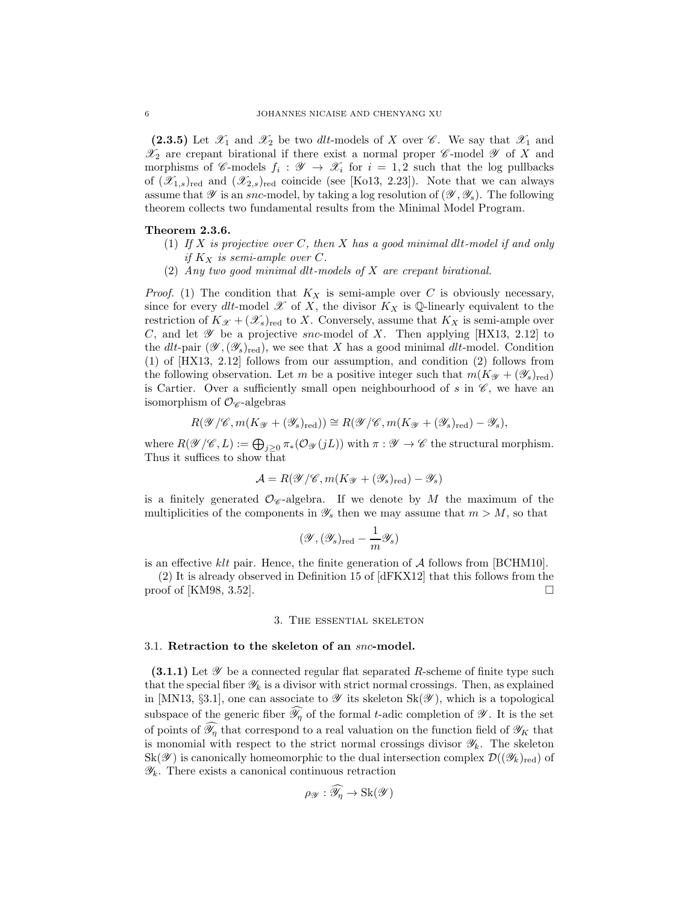(2.3.5) Let  $\mathscr{X}_1$  and  $\mathscr{X}_2$  be two dlt-models of X over  $\mathscr{C}$ . We say that  $\mathscr{X}_1$  and  $\mathscr{X}_2$  are crepant birational if there exist a normal proper  $\mathscr{C}\text{-model}\mathscr{Y}$  of X and morphisms of C-models  $f_i : \mathscr{Y} \to \mathscr{X}_i$  for  $i = 1, 2$  such that the log pullbacks of  $(\mathscr{X}_{1,s})_{\text{red}}$  and  $(\mathscr{X}_{2,s})_{\text{red}}$  coincide (see [Ko13, 2.23]). Note that we can always assume that  $\mathscr Y$  is an snc-model, by taking a log resolution of  $(\mathscr Y, \mathscr Y_s)$ . The following theorem collects two fundamental results from the Minimal Model Program.

### Theorem 2.3.6.

- (1) If X is projective over C, then X has a good minimal dlt-model if and only if  $K_X$  is semi-ample over C.
- (2) Any two good minimal dlt-models of X are crepant birational.

*Proof.* (1) The condition that  $K_X$  is semi-ample over C is obviously necessary, since for every dlt-model  $\mathscr X$  of X, the divisor  $K_X$  is Q-linearly equivalent to the restriction of  $K_{\mathcal{X}} + (\mathcal{X}_s)_{\text{red}}$  to X. Conversely, assume that  $K_X$  is semi-ample over C, and let  $\mathscr Y$  be a projective snc-model of X. Then applying [HX13, 2.12] to the dlt-pair  $(\mathscr{Y},(\mathscr{Y}_s)_{\text{red}})$ , we see that X has a good minimal dlt-model. Condition (1) of [HX13, 2.12] follows from our assumption, and condition (2) follows from the following observation. Let m be a positive integer such that  $m(K_{\mathscr{Y}} + (\mathscr{Y}_{s})_{\text{red}})$ is Cartier. Over a sufficiently small open neighbourhood of  $s$  in  $\mathscr{C}$ , we have an isomorphism of  $\mathcal{O}_{\mathscr{C}}$ -algebras

$$
R(\mathscr{Y}/\mathscr{C}, m(K_{\mathscr{Y}}+(\mathscr{Y}_s)_{red})) \cong R(\mathscr{Y}/\mathscr{C}, m(K_{\mathscr{Y}}+(\mathscr{Y}_s)_{red})-\mathscr{Y}_s),
$$

where  $R(\mathscr{Y}/\mathscr{C}, L) := \bigoplus_{j \geq 0} \pi_*(\mathcal{O}_{\mathscr{Y}}(jL))$  with  $\pi : \mathscr{Y} \to \mathscr{C}$  the structural morphism. Thus it suffices to show that

$$
\mathcal{A} = R(\mathcal{Y}/\mathcal{C}, m(K_{\mathcal{Y}} + (\mathcal{Y}_{s})_{red}) - \mathcal{Y}_{s})
$$

is a finitely generated  $\mathcal{O}_{\mathscr{C}}$ -algebra. If we denote by M the maximum of the multiplicities of the components in  $\mathscr{Y}_s$  then we may assume that  $m > M$ , so that

$$
(\mathscr{Y},(\mathscr{Y}_s)_{\mathrm{red}}-\frac{1}{m}\mathscr{Y}_s)
$$

is an effective klt pair. Hence, the finite generation of  $A$  follows from [BCHM10].

(2) It is already observed in Definition 15 of [dFKX12] that this follows from the proof of [KM98, 3.52].

#### 3. The essential skeleton

# 3.1. Retraction to the skeleton of an snc-model.

 $(3.1.1)$  Let  $\mathscr Y$  be a connected regular flat separated R-scheme of finite type such that the special fiber  $\mathscr{Y}_k$  is a divisor with strict normal crossings. Then, as explained in [MN13, §3.1], one can associate to  $\mathscr Y$  its skeleton  $Sk(\mathscr Y)$ , which is a topological subspace of the generic fiber  $\mathscr{Y}_\eta$  of the formal t-adic completion of  $\mathscr{Y}$ . It is the set of points of  $\widehat{\mathscr{Y}}_n$  that correspond to a real valuation on the function field of  $\mathscr{Y}_K$  that is monomial with respect to the strict normal crossings divisor  $\mathscr{Y}_k$ . The skeleton  $\text{Sk}(\mathscr{Y})$  is canonically homeomorphic to the dual intersection complex  $\mathcal{D}((\mathscr{Y}_k)_{\text{red}})$  of  $\mathscr{Y}_k$ . There exists a canonical continuous retraction

$$
\rho_{\mathscr{Y}}: \widehat{\mathscr{Y}_{\eta}} \to \text{Sk}(\mathscr{Y})
$$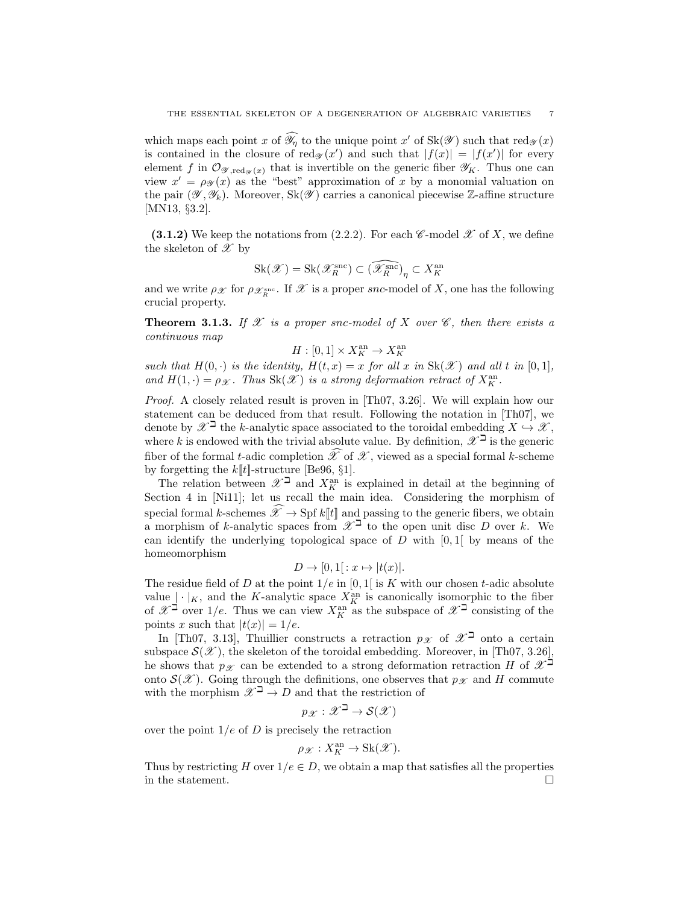which maps each point x of  $\widehat{\mathscr{Y}}_n$  to the unique point x' of  $\text{Sk}(\mathscr{Y})$  such that  $\text{red}_{\mathscr{Y}}(x)$ is contained in the closure of  $\text{red}_{\mathscr{Y}}(x')$  and such that  $|f(x)| = |f(x')|$  for every element f in  $\mathcal{O}_{\mathscr{Y},{\rm red}_{\mathscr{Y}}(x)}$  that is invertible on the generic fiber  $\mathscr{Y}_K$ . Thus one can view  $x' = \rho_{\mathcal{Y}}(x)$  as the "best" approximation of x by a monomial valuation on the pair  $(\mathscr{Y}, \mathscr{Y}_k)$ . Moreover,  $Sk(\mathscr{Y})$  carries a canonical piecewise Z-affine structure [MN13, §3.2].

(3.1.2) We keep the notations from  $(2.2.2)$ . For each  $\mathscr C$ -model  $\mathscr X$  of X, we define the skeleton of  $\mathscr X$  by

$$
\operatorname{Sk}(\mathscr{X})=\operatorname{Sk}(\mathscr{X}_R^{\operatorname{snc}})\subset \widehat{(\mathscr{X}_R^{\operatorname{snc}})}_\eta\subset X_K^{\operatorname{an}}
$$

and we write  $\rho_{\mathcal{X}}$  for  $\rho_{\mathcal{X}_R^{\text{smc}}}$ . If  $\mathcal{X}$  is a proper snc-model of X, one has the following crucial property.

**Theorem 3.1.3.** If X is a proper snc-model of X over  $\mathscr{C}$ , then there exists a continuous map

$$
H:[0,1]\times X_K^{\rm an}\to X_K^{\rm an}
$$

such that  $H(0, \cdot)$  is the identity,  $H(t, x) = x$  for all x in  $\text{Sk}(\mathscr{X})$  and all t in [0,1], and  $H(1, \cdot) = \rho_{\mathcal{X}}$ . Thus  $\text{Sk}(\mathcal{X})$  is a strong deformation retract of  $X_K^{\text{an}}$ .

Proof. A closely related result is proven in [Th07, 3.26]. We will explain how our statement can be deduced from that result. Following the notation in [Th07], we denote by  $\mathscr{X}^{\beth}$  the k-analytic space associated to the toroidal embedding  $X \hookrightarrow \mathscr{X}$ , where k is endowed with the trivial absolute value. By definition,  $\mathscr{X}^{\beth}$  is the generic fiber of the formal t-adic completion  $\widehat{\mathscr{X}}$  of  $\mathscr{X}$ , viewed as a special formal k-scheme by forgetting the  $k[[t]]$ -structure [Be96, §1].

The relation between  $\mathscr{X}^{\beth}$  and  $X^{\text{an}}_K$  is explained in detail at the beginning of Section 4 in [Ni11]; let us recall the main idea. Considering the morphism of special formal k-schemes  $\widehat{\mathscr{X}} \to \text{Spf } k[[t]]$  and passing to the generic fibers, we obtain a morphism of k-analytic spaces from  $\mathscr{X}^{\beth}$  to the open unit disc D over k. We can identify the underlying topological space of  $D$  with  $[0, 1]$  by means of the homeomorphism

$$
D \to [0,1]: x \mapsto |t(x)|.
$$

The residue field of D at the point  $1/e$  in [0, 1] is K with our chosen t-adic absolute value  $\lfloor \cdot |_{K}$ , and the K-analytic space  $X_K^{\text{an}}$  is canonically isomorphic to the fiber of  $\mathscr{X}^{\beth}$  over  $1/e$ . Thus we can view  $X_K^{\text{an}}$  as the subspace of  $\mathscr{X}^{\beth}$  consisting of the points x such that  $|t(x)| = 1/e$ .

In [Th07, 3.13], Thuillier constructs a retraction  $p_{\mathscr{X}}$  of  $\mathscr{X}^{\beth}$  onto a certain subspace  $\mathcal{S}(\mathcal{X})$ , the skeleton of the toroidal embedding. Moreover, in [Th07, 3.26], he shows that  $p_{\mathscr{X}}$  can be extended to a strong deformation retraction H of  $\mathscr{X}^{\beth}$ onto  $\mathcal{S}(\mathcal{X})$ . Going through the definitions, one observes that  $p_{\mathcal{X}}$  and H commute with the morphism  $\mathscr{X}^{\beth} \to D$  and that the restriction of

$$
p_{\mathscr{X}}:\mathscr{X}^{\beth}\to\mathcal{S}(\mathscr{X})
$$

over the point  $1/e$  of D is precisely the retraction

$$
\rho_{\mathscr{X}}: X_K^{\text{an}} \to \text{Sk}(\mathscr{X}).
$$

Thus by restricting H over  $1/e \in D$ , we obtain a map that satisfies all the properties in the statement.  $\Box$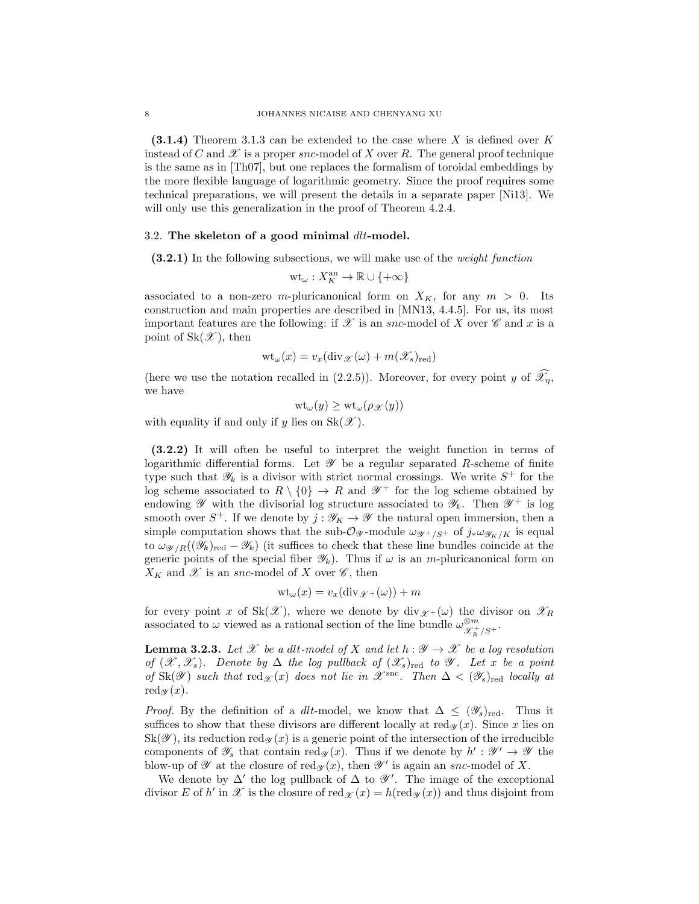$(3.1.4)$  Theorem 3.1.3 can be extended to the case where X is defined over K instead of C and  $\mathscr X$  is a proper snc-model of X over R. The general proof technique is the same as in [Th07], but one replaces the formalism of toroidal embeddings by the more flexible language of logarithmic geometry. Since the proof requires some technical preparations, we will present the details in a separate paper [Ni13]. We will only use this generalization in the proof of Theorem 4.2.4.

## 3.2. The skeleton of a good minimal dlt-model.

(3.2.1) In the following subsections, we will make use of the *weight function* 

$$
\mathrm{wt}_{\omega}: X_K^{\mathrm{an}} \to \mathbb{R} \cup \{+\infty\}
$$

associated to a non-zero m-pluricanonical form on  $X_K$ , for any  $m > 0$ . Its construction and main properties are described in [MN13, 4.4.5]. For us, its most important features are the following: if  $\mathscr X$  is an snc-model of X over  $\mathscr C$  and x is a point of  $Sk(\mathscr{X})$ , then

$$
\text{wt}_{\omega}(x) = v_x(\text{div}_{\mathscr{X}}(\omega) + m(\mathscr{X}_s)_{\text{red}})
$$

(here we use the notation recalled in (2.2.5)). Moreover, for every point y of  $\widehat{\mathscr{X}_n}$ , we have

$$
\mathrm{wt}_{\omega}(y) \geq \mathrm{wt}_{\omega}(\rho_{\mathscr{X}}(y))
$$

with equality if and only if y lies on  $Sk(\mathscr{X})$ .

(3.2.2) It will often be useful to interpret the weight function in terms of logarithmic differential forms. Let  $\mathscr Y$  be a regular separated R-scheme of finite type such that  $\mathscr{Y}_k$  is a divisor with strict normal crossings. We write  $S^+$  for the log scheme associated to  $R \setminus \{0\} \to R$  and  $\mathscr{Y}^+$  for the log scheme obtained by endowing  $\mathscr Y$  with the divisorial log structure associated to  $\mathscr Y_k$ . Then  $\mathscr Y^+$  is log smooth over  $S^+$ . If we denote by  $j: \mathscr{Y}_K \to \mathscr{Y}$  the natural open immersion, then a simple computation shows that the sub- $\mathcal{O}_{\mathscr{Y}}$ -module  $\omega_{\mathscr{Y}+}/S^+$  of  $j_*\omega_{\mathscr{Y}_K/K}$  is equal to  $\omega_{\mathscr{Y}/R}((\mathscr{Y}_k)_{\text{red}} - \mathscr{Y}_k)$  (it suffices to check that these line bundles coincide at the generic points of the special fiber  $\mathscr{Y}_k$ ). Thus if  $\omega$  is an *m*-pluricanonical form on  $X_K$  and  $\mathscr X$  is an snc-model of X over  $\mathscr C$ , then

$$
\mathrm{wt}_{\omega}(x) = v_x(\mathrm{div}_{\mathscr{X}^+}(\omega)) + m
$$

for every point x of Sk(X), where we denote by  $div_{\mathscr{X}^+}(\omega)$  the divisor on  $\mathscr{X}_R$ associated to  $\omega$  viewed as a rational section of the line bundle  $\omega_{\mathcal{X}_R^+/S^+}^{\otimes m}$ .

**Lemma 3.2.3.** Let X be a dlt-model of X and let  $h : \mathcal{Y} \to \mathcal{X}$  be a log resolution of  $(\mathscr{X}, \mathscr{X}_s)$ . Denote by  $\Delta$  the log pullback of  $(\mathscr{X}_s)_{\text{red}}$  to  $\mathscr{Y}$ . Let x be a point of Sk( $\mathscr Y$ ) such that  $\text{red}_{\mathscr X}(x)$  does not lie in  $\mathscr X^{\text{snc}}$ . Then  $\Delta < (\mathscr Y_s)_{\text{red}}$  locally at red $\mathscr{A}(x)$ .

*Proof.* By the definition of a dlt-model, we know that  $\Delta \leq (\mathscr{Y}_s)_{\text{red}}$ . Thus it suffices to show that these divisors are different locally at  $\text{red}_{\mathscr{X}}(x)$ . Since x lies on  $\text{Sk}(\mathscr{Y})$ , its reduction red $\mathscr{Y}(x)$  is a generic point of the intersection of the irreducible components of  $\mathscr{Y}_s$  that contain  $\text{red}_{\mathscr{Y}}(x)$ . Thus if we denote by  $h': \mathscr{Y}' \to \mathscr{Y}$  the blow-up of  $\mathscr Y$  at the closure of red $\mathscr Y(x)$ , then  $\mathscr Y'$  is again an snc-model of X.

We denote by  $\Delta'$  the log pullback of  $\Delta$  to  $\mathscr{Y}'$ . The image of the exceptional divisor E of h' in  $\mathscr X$  is the closure of red  $\chi(x) = h(\text{red}_{\mathscr X}(x))$  and thus disjoint from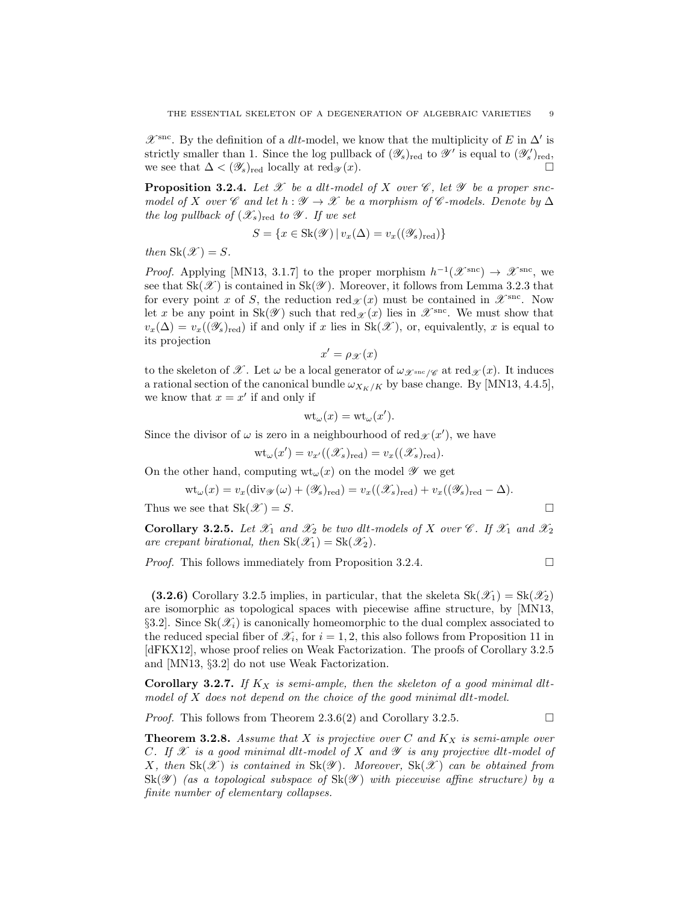$\mathscr{X}^{\text{smc}}$ . By the definition of a *dlt*-model, we know that the multiplicity of E in  $\Delta'$  is strictly smaller than 1. Since the log pullback of  $(\mathscr{Y}_s)_{red}$  to  $\mathscr{Y}'$  is equal to  $(\mathscr{Y}'_s)_{red}$ , we see that  $\Delta < (\mathscr{Y}_s)_{\text{red}}$  locally at red $\mathscr{Y}(x)$ .

**Proposition 3.2.4.** Let  $\mathcal X$  be a dlt-model of X over  $\mathcal C$ , let  $\mathcal Y$  be a proper sncmodel of X over C and let  $h : \mathscr{Y} \to \mathscr{X}$  be a morphism of C-models. Denote by  $\Delta$ the log pullback of  $(\mathscr{X}_s)_{\text{red}}$  to  $\mathscr{Y}$ . If we set

$$
S = \{ x \in Sk(\mathcal{Y}) \mid v_x(\Delta) = v_x((\mathcal{Y}_s)_{\text{red}}) \}
$$

then  $\text{Sk}(\mathscr{X}) = S$ .

*Proof.* Applying [MN13, 3.1.7] to the proper morphism  $h^{-1}(\mathscr{X}^{\text{smc}}) \to \mathscr{X}^{\text{smc}}$ , we see that  $Sk(\mathscr{X})$  is contained in  $Sk(\mathscr{Y})$ . Moreover, it follows from Lemma 3.2.3 that for every point x of S, the reduction  $\text{red}_{\mathscr{X}}(x)$  must be contained in  $\mathscr{X}^{\text{snc}}$ . Now let x be any point in Sk( $\mathscr Y$ ) such that  $\text{red}_{\mathscr X}(x)$  lies in  $\mathscr X^{\text{src}}$ . We must show that  $v_x(\Delta) = v_x((\mathscr{Y}_s)_{\text{red}})$  if and only if x lies in Sk(X), or, equivalently, x is equal to its projection

$$
x' = \rho_{\mathscr{X}}(x)
$$

to the skeleton of X. Let  $\omega$  be a local generator of  $\omega_{\mathscr{X}^{\text{snc}}/\mathscr{C}}$  at red $\mathscr{X}(x)$ . It induces a rational section of the canonical bundle  $\omega_{X_K/K}$  by base change. By [MN13, 4.4.5], we know that  $x = x'$  if and only if

$$
\mathrm{wt}_{\omega}(x)=\mathrm{wt}_{\omega}(x').
$$

Since the divisor of  $\omega$  is zero in a neighbourhood of red $\chi(x')$ , we have

$$
\text{wt}_{\omega}(x') = v_{x'}((\mathscr{X}_s)_{\text{red}}) = v_x((\mathscr{X}_s)_{\text{red}}).
$$

On the other hand, computing  $wt_\omega(x)$  on the model  $\mathscr Y$  we get

$$
\mathrm{wt}_{\omega}(x) = v_x(\mathrm{div}_{\mathscr{Y}}(\omega) + (\mathscr{Y}_s)_{\mathrm{red}}) = v_x((\mathscr{X}_s)_{\mathrm{red}}) + v_x((\mathscr{Y}_s)_{\mathrm{red}} - \Delta).
$$

Thus we see that  $\text{Sk}(\mathcal{X}) = S$ .

**Corollary 3.2.5.** Let 
$$
\mathcal{X}_1
$$
 and  $\mathcal{X}_2$  be two *alt-models* of  $X$  over  $\mathcal{C}$ . If  $\mathcal{X}_1$  and  $\mathcal{X}_2$  are *crepant birational, then*  $Sk(\mathcal{X}_1) = Sk(\mathcal{X}_2)$ .

*Proof.* This follows immediately from Proposition 3.2.4.  $\Box$ 

(3.2.6) Corollary 3.2.5 implies, in particular, that the skeleta  $\text{Sk}(\mathscr{X}_1) = \text{Sk}(\mathscr{X}_2)$ are isomorphic as topological spaces with piecewise affine structure, by [MN13, §3.2. Since  $\text{Sk}(\mathscr{X}_i)$  is canonically homeomorphic to the dual complex associated to the reduced special fiber of  $\mathscr{X}_i$ , for  $i = 1, 2$ , this also follows from Proposition 11 in [dFKX12], whose proof relies on Weak Factorization. The proofs of Corollary 3.2.5 and [MN13, §3.2] do not use Weak Factorization.

Corollary 3.2.7. If  $K_X$  is semi-ample, then the skeleton of a good minimal dltmodel of  $X$  does not depend on the choice of the good minimal dlt-model.

*Proof.* This follows from Theorem 2.3.6(2) and Corollary 3.2.5.

**Theorem 3.2.8.** Assume that X is projective over C and  $K_X$  is semi-ample over

C. If  $\mathscr X$  is a good minimal dlt-model of X and  $\mathscr Y$  is any projective dlt-model of X, then  $\text{Sk}(\mathscr{X})$  is contained in  $\text{Sk}(\mathscr{Y})$ . Moreover,  $\text{Sk}(\mathscr{X})$  can be obtained from  $\text{Sk}(\mathscr{Y})$  (as a topological subspace of  $\text{Sk}(\mathscr{Y})$  with piecewise affine structure) by a finite number of elementary collapses.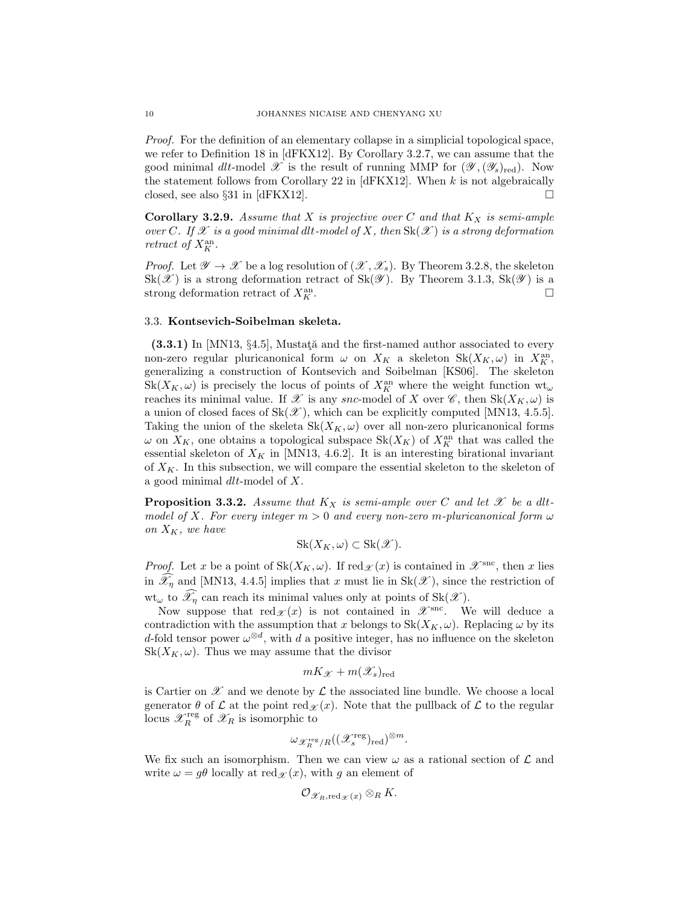Proof. For the definition of an elementary collapse in a simplicial topological space, we refer to Definition 18 in [dFKX12]. By Corollary 3.2.7, we can assume that the good minimal dlt-model  $\mathscr X$  is the result of running MMP for  $(\mathscr Y,(\mathscr Y_s)_{red})$ . Now the statement follows from Corollary 22 in [dFKX12]. When  $k$  is not algebraically closed, see also §31 in [dFKX12].  $\Box$ 

**Corollary 3.2.9.** Assume that X is projective over C and that  $K_X$  is semi-ample over C. If X is a good minimal dlt-model of X, then  $\text{Sk}(\mathscr{X})$  is a strong deformation retract of  $X_K^{\text{an}}$ .

*Proof.* Let  $\mathscr{Y} \to \mathscr{X}$  be a log resolution of  $(\mathscr{X}, \mathscr{X}_s)$ . By Theorem 3.2.8, the skeleton  $Sk(\mathscr{X})$  is a strong deformation retract of  $Sk(\mathscr{Y})$ . By Theorem 3.1.3,  $Sk(\mathscr{Y})$  is a strong deformation retract of  $X_K^{\text{an}}$ .  $K$  .  $\Box$ 

#### 3.3. Kontsevich-Soibelman skeleta.

 $(3.3.1)$  In [MN13,  $\S 4.5$ ], Mustati and the first-named author associated to every non-zero regular pluricanonical form  $\omega$  on  $X_K$  a skeleton  $\text{Sk}(X_K, \omega)$  in  $X_K^{\text{an}}$ , generalizing a construction of Kontsevich and Soibelman [KS06]. The skeleton  $\text{Sk}(X_K, \omega)$  is precisely the locus of points of  $X_K^{\text{an}}$  where the weight function  $\text{wt}_\omega$ reaches its minimal value. If X is any snc-model of X over  $\mathscr{C}$ , then  $\text{Sk}(X_K, \omega)$  is a union of closed faces of  $Sk(\mathscr{X})$ , which can be explicitly computed [MN13, 4.5.5]. Taking the union of the skeleta  $\text{Sk}(X_K, \omega)$  over all non-zero pluricanonical forms  $\omega$  on  $X_K$ , one obtains a topological subspace  $\text{Sk}(X_K)$  of  $X_K^{\text{an}}$  that was called the essential skeleton of  $X_K$  in [MN13, 4.6.2]. It is an interesting birational invariant of  $X_K$ . In this subsection, we will compare the essential skeleton to the skeleton of a good minimal dlt-model of X.

**Proposition 3.3.2.** Assume that  $K_X$  is semi-ample over C and let  $\mathscr X$  be a dltmodel of X. For every integer  $m > 0$  and every non-zero m-pluricanonical form  $\omega$ on  $X_K$ , we have

$$
Sk(X_K, \omega) \subset Sk(\mathcal{X}).
$$

*Proof.* Let x be a point of  $Sk(X_K, \omega)$ . If  $red_{\mathcal{X}}(x)$  is contained in  $\mathcal{X}^{src}$ , then x lies in  $\widehat{\mathscr{X}}_n$  and [MN13, 4.4.5] implies that x must lie in Sk(X), since the restriction of  $wt_{\omega}$  to  $\widehat{\mathscr{X}}_n$  can reach its minimal values only at points of  $\text{Sk}(\mathscr{X})$ .

Now suppose that  $red_{\mathscr{X}}(x)$  is not contained in  $\mathscr{X}^{snc}$ . We will deduce a contradiction with the assumption that x belongs to  $Sk(X_K, \omega)$ . Replacing  $\omega$  by its d-fold tensor power  $\omega^{\otimes d}$ , with d a positive integer, has no influence on the skeleton  $Sk(X_K, \omega)$ . Thus we may assume that the divisor

$$
mK_{\mathscr{X}}+m(\mathscr{X}_s)_{\mathrm{red}}
$$

is Cartier on  $\mathscr X$  and we denote by  $\mathcal L$  the associated line bundle. We choose a local generator  $\theta$  of  $\mathcal L$  at the point red $\mathcal L(x)$ . Note that the pullback of  $\mathcal L$  to the regular locus  $\mathscr{X}_R^{\text{reg}}$  of  $\mathscr{X}_R$  is isomorphic to

$$
\omega_{\mathscr{X}_R^{\rm reg}/R}((\mathscr{X}_s^{\rm reg})_{\rm red})^{\otimes m}.
$$

We fix such an isomorphism. Then we can view  $\omega$  as a rational section of  $\mathcal L$  and write  $\omega = g\theta$  locally at red  $\chi(x)$ , with g an element of

$$
{\mathcal O}_{\mathscr X_R,{\text{red}}_{\mathscr X}(x)}\otimes_R K.
$$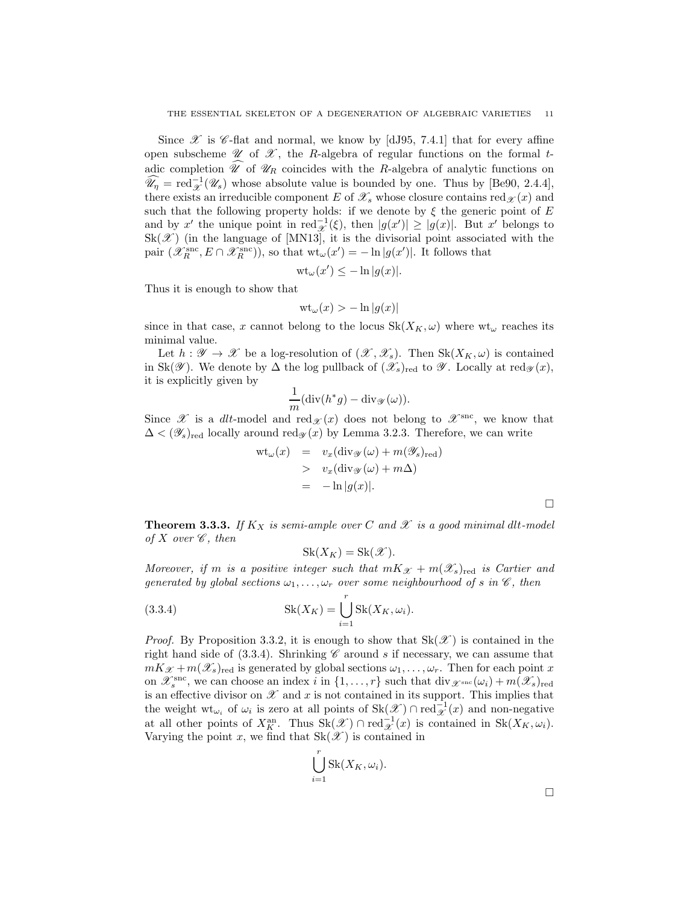Since  $\mathscr X$  is  $\mathscr C$ -flat and normal, we know by [dJ95, 7.4.1] that for every affine open subscheme  $\mathscr U$  of  $\mathscr X$ , the R-algebra of regular functions on the formal tadic completion  $\widehat{\mathscr{U}}$  of  $\mathscr{U}_R$  coincides with the R-algebra of analytic functions on  $\widehat{\mathscr{U}}_{\eta} = \text{red}_{\mathscr{X}}^{-1}(\mathscr{U}_{s})$  whose absolute value is bounded by one. Thus by [Be90, 2.4.4], there exists an irreducible component E of  $\mathscr{X}_s$  whose closure contains red $\mathscr{X}(x)$  and such that the following property holds: if we denote by  $\xi$  the generic point of E and by x' the unique point in red $\frac{1}{x}(\xi)$ , then  $|g(x')| \geq |g(x)|$ . But x' belongs to  $Sk(\mathscr{X})$  (in the language of [MN13], it is the divisorial point associated with the pair  $(\mathscr{X}_R^{\text{snc}}, E \cap \mathscr{X}_R^{\text{snc}})$ , so that  $\text{wt}_{\omega}(x') = -\ln |g(x')|$ . It follows that

$$
\text{wt}_{\omega}(x') \le -\ln|g(x)|.
$$

Thus it is enough to show that

$$
\mathrm{wt}_{\omega}(x) > -\ln|g(x)|
$$

since in that case, x cannot belong to the locus  $Sk(X_K, \omega)$  where wt<sub> $\omega$ </sub> reaches its minimal value.

Let  $h: \mathscr{Y} \to \mathscr{X}$  be a log-resolution of  $(\mathscr{X}, \mathscr{X}_s)$ . Then  $Sk(X_K, \omega)$  is contained in Sk( $\mathscr Y$ ). We denote by  $\Delta$  the log pullback of  $(\mathscr X_s)_{\text{red}}$  to  $\mathscr Y$ . Locally at red $_{\mathscr Y}(x)$ , it is explicitly given by

$$
\frac{1}{m}(\operatorname{div}(h^*g) - \operatorname{div}_{\mathscr{Y}}(\omega)).
$$

Since X is a dlt-model and red $\chi(x)$  does not belong to  $\mathscr{X}^{\text{snc}}$ , we know that  $\Delta < (\mathscr{Y}_s)_{\text{red}}$  locally around red $\mathscr{Y}(x)$  by Lemma 3.2.3. Therefore, we can write

$$
wt_{\omega}(x) = v_x(\text{div}_{\mathscr{Y}}(\omega) + m(\mathscr{Y}_s)_{\text{red}})
$$
  
>  $v_x(\text{div}_{\mathscr{Y}}(\omega) + m\Delta)$   
=  $-\ln |g(x)|$ .

**Theorem 3.3.3.** If  $K_X$  is semi-ample over C and X is a good minimal dlt-model of X over  $\mathscr{C}$ , then

$$
Sk(X_K) = Sk(\mathscr{X}).
$$

Moreover, if m is a positive integer such that  $mK_{\mathscr{X}} + m(\mathscr{X}_s)_{\text{red}}$  is Cartier and generated by global sections  $\omega_1, \ldots, \omega_r$  over some neighbourhood of s in  $\mathscr{C}$ , then

(3.3.4) 
$$
Sk(X_K) = \bigcup_{i=1}^{r} Sk(X_K, \omega_i).
$$

*Proof.* By Proposition 3.3.2, it is enough to show that  $Sk(\mathscr{X})$  is contained in the right hand side of  $(3.3.4)$ . Shrinking  $\mathscr C$  around s if necessary, we can assume that  $mK_{\mathcal{X}} + m(\mathcal{X}_s)_{\text{red}}$  is generated by global sections  $\omega_1, \ldots, \omega_r$ . Then for each point x on  $\mathscr{X}_s^{\text{snc}}$ , we can choose an index i in  $\{1,\ldots,r\}$  such that  $\text{div}_{\mathscr{X}^{\text{snc}}}(\omega_i) + m(\mathscr{X}_s)_{\text{red}}$ is an effective divisor on  $\mathscr X$  and  $x$  is not contained in its support. This implies that the weight  $\mathrm{wt}_{\omega_i}$  of  $\omega_i$  is zero at all points of  $\mathrm{Sk}(\mathscr{X}) \cap \mathrm{red}^{-1}_{\mathscr{X}}(x)$  and non-negative at all other points of  $X_K^{\text{an}}$ . Thus  $\text{Sk}(\mathscr{X}) \cap \text{red}^{-1}_{\mathscr{X}}(x)$  is contained in  $\text{Sk}(X_K, \omega_i)$ . Varying the point x, we find that  $Sk(\mathscr{X})$  is contained in

$$
\bigcup_{i=1}^r \text{Sk}(X_K, \omega_i).
$$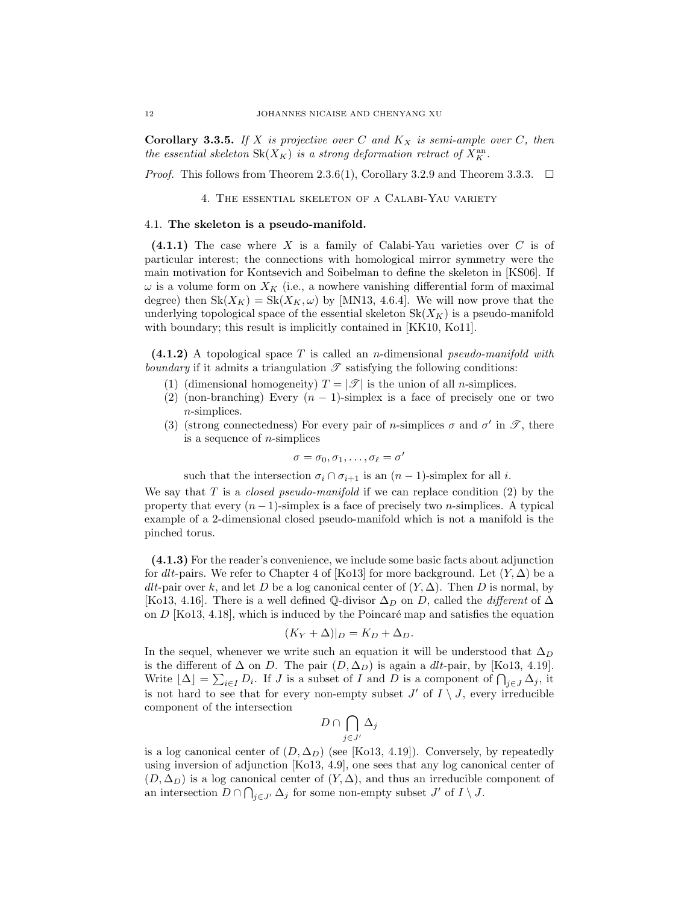**Corollary 3.3.5.** If X is projective over C and  $K_X$  is semi-ample over C, then the essential skeleton  $\text{Sk}(X_K)$  is a strong deformation retract of  $X_K^{\text{an}}$ .

*Proof.* This follows from Theorem 2.3.6(1), Corollary 3.2.9 and Theorem 3.3.3.  $\Box$ 

4. The essential skeleton of a Calabi-Yau variety

## 4.1. The skeleton is a pseudo-manifold.

 $(4.1.1)$  The case where X is a family of Calabi-Yau varieties over C is of particular interest; the connections with homological mirror symmetry were the main motivation for Kontsevich and Soibelman to define the skeleton in [KS06]. If  $\omega$  is a volume form on  $X_K$  (i.e., a nowhere vanishing differential form of maximal degree) then  $Sk(X_K) = Sk(X_K, \omega)$  by [MN13, 4.6.4]. We will now prove that the underlying topological space of the essential skeleton  $Sk(X_K)$  is a pseudo-manifold with boundary; this result is implicitly contained in [KK10, Ko11].

 $(4.1.2)$  A topological space T is called an n-dimensional pseudo-manifold with boundary if it admits a triangulation  $\mathscr T$  satisfying the following conditions:

- (1) (dimensional homogeneity)  $T = |\mathcal{T}|$  is the union of all *n*-simplices.
- (2) (non-branching) Every  $(n 1)$ -simplex is a face of precisely one or two n-simplices.
- (3) (strong connectedness) For every pair of *n*-simplices  $\sigma$  and  $\sigma'$  in  $\mathscr{T}$ , there is a sequence of  $n$ -simplices

$$
\sigma=\sigma_0,\sigma_1,\ldots,\sigma_\ell=\sigma'
$$

such that the intersection  $\sigma_i \cap \sigma_{i+1}$  is an  $(n-1)$ -simplex for all *i*.

We say that  $T$  is a *closed pseudo-manifold* if we can replace condition (2) by the property that every  $(n-1)$ -simplex is a face of precisely two *n*-simplices. A typical example of a 2-dimensional closed pseudo-manifold which is not a manifold is the pinched torus.

(4.1.3) For the reader's convenience, we include some basic facts about adjunction for dlt-pairs. We refer to Chapter 4 of [Ko13] for more background. Let  $(Y, \Delta)$  be a dlt-pair over k, and let D be a log canonical center of  $(Y, \Delta)$ . Then D is normal, by [Ko13, 4.16]. There is a well defined Q-divisor  $\Delta_D$  on D, called the *different* of  $\Delta$ on  $D$  [Ko13, 4.18], which is induced by the Poincaré map and satisfies the equation

$$
(K_Y + \Delta)|_D = K_D + \Delta_D.
$$

In the sequel, whenever we write such an equation it will be understood that  $\Delta_D$ is the different of  $\Delta$  on D. The pair  $(D, \Delta_D)$  is again a *dlt*-pair, by [Ko13, 4.19]. Write  $\lfloor \Delta \rfloor = \sum_{i \in I} D_i$ . If J is a subset of  $\overline{I}$  and  $\overline{D}$  is a component of  $\bigcap_{j \in J} \Delta_j$ , it is not hard to see that for every non-empty subset  $J'$  of  $I \setminus J$ , every irreducible component of the intersection

$$
D\cap\bigcap_{j\in J'}\Delta_j
$$

is a log canonical center of  $(D, \Delta_D)$  (see [Ko13, 4.19]). Conversely, by repeatedly using inversion of adjunction [Ko13, 4.9], one sees that any log canonical center of  $(D, \Delta_D)$  is a log canonical center of  $(Y, \Delta)$ , and thus an irreducible component of an intersection  $D \cap \bigcap_{j \in J'} \Delta_j$  for some non-empty subset  $J'$  of  $I \setminus J$ .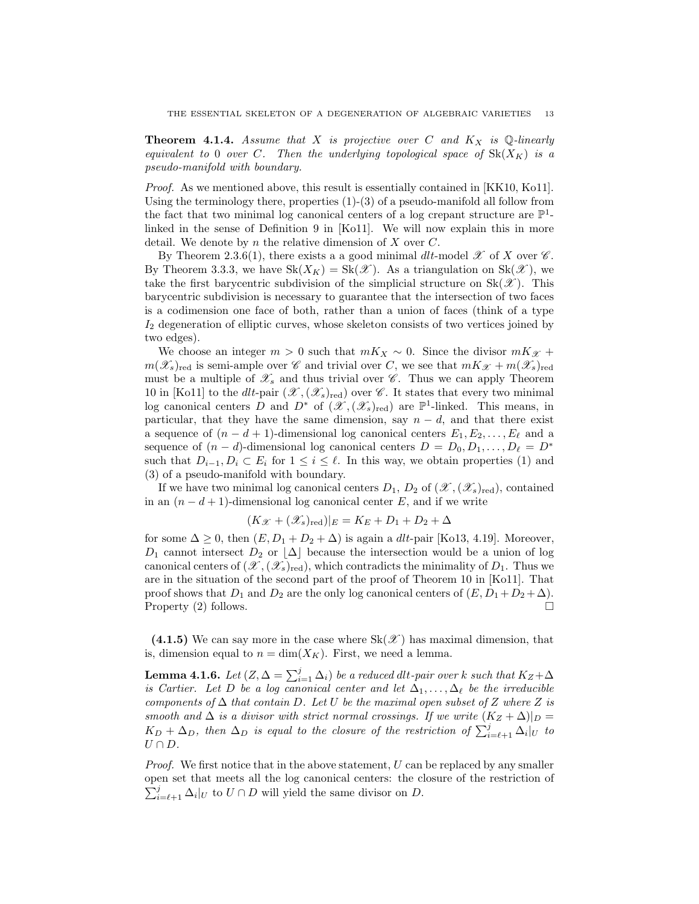**Theorem 4.1.4.** Assume that X is projective over C and  $K_X$  is Q-linearly equivalent to 0 over C. Then the underlying topological space of  $Sk(X_K)$  is a pseudo-manifold with boundary.

Proof. As we mentioned above, this result is essentially contained in [KK10, Ko11]. Using the terminology there, properties  $(1)-(3)$  of a pseudo-manifold all follow from the fact that two minimal log canonical centers of a log crepant structure are  $\mathbb{P}^1$ linked in the sense of Definition 9 in [Ko11]. We will now explain this in more detail. We denote by n the relative dimension of X over  $C$ .

By Theorem 2.3.6(1), there exists a a good minimal dlt-model  $\mathscr X$  of X over  $\mathscr C$ . By Theorem 3.3.3, we have  $\text{Sk}(X_K) = \text{Sk}(\mathscr{X})$ . As a triangulation on  $\text{Sk}(\mathscr{X})$ , we take the first barycentric subdivision of the simplicial structure on  $Sk(\mathscr{X})$ . This barycentric subdivision is necessary to guarantee that the intersection of two faces is a codimension one face of both, rather than a union of faces (think of a type  $I_2$  degeneration of elliptic curves, whose skeleton consists of two vertices joined by two edges).

We choose an integer  $m > 0$  such that  $mK_X \sim 0$ . Since the divisor  $mK_{\mathscr{X}}$  +  $m(\mathscr{X}_s)_{\text{red}}$  is semi-ample over  $\mathscr C$  and trivial over C, we see that  $mK_{\mathscr X} + m(\mathscr{X}_s)_{\text{red}}$ must be a multiple of  $\mathscr{X}_s$  and thus trivial over  $\mathscr{C}$ . Thus we can apply Theorem 10 in [Ko11] to the dlt-pair  $(\mathscr{X},(\mathscr{X}_s)_{\text{red}})$  over  $\mathscr{C}$ . It states that every two minimal log canonical centers D and  $D^*$  of  $(\mathscr{X},(\mathscr{X}_s)_{\text{red}})$  are  $\mathbb{P}^1$ -linked. This means, in particular, that they have the same dimension, say  $n - d$ , and that there exist a sequence of  $(n - d + 1)$ -dimensional log canonical centers  $E_1, E_2, \ldots, E_\ell$  and a sequence of  $(n - d)$ -dimensional log canonical centers  $D = D_0, D_1, \ldots, D_\ell = D^*$ such that  $D_{i-1}, D_i \subset E_i$  for  $1 \leq i \leq \ell$ . In this way, we obtain properties (1) and (3) of a pseudo-manifold with boundary.

If we have two minimal log canonical centers  $D_1, D_2$  of  $(\mathscr{X},(\mathscr{X}_s)_{\text{red}})$ , contained in an  $(n - d + 1)$ -dimensional log canonical center E, and if we write

$$
(K_{\mathcal{X}} + (\mathcal{X}_s)_{\text{red}})|_E = K_E + D_1 + D_2 + \Delta
$$

for some  $\Delta \geq 0$ , then  $(E, D_1 + D_2 + \Delta)$  is again a *dlt*-pair [Ko13, 4.19]. Moreover,  $D_1$  cannot intersect  $D_2$  or  $|\Delta|$  because the intersection would be a union of log canonical centers of  $(\mathscr{X},(\mathscr{X}_s)_{\text{red}})$ , which contradicts the minimality of  $D_1$ . Thus we are in the situation of the second part of the proof of Theorem 10 in [Ko11]. That proof shows that  $D_1$  and  $D_2$  are the only log canonical centers of  $(E, D_1 + D_2 + \Delta)$ . Property (2) follows.

(4.1.5) We can say more in the case where  $Sk(\mathscr{X})$  has maximal dimension, that is, dimension equal to  $n = \dim(X_K)$ . First, we need a lemma.

**Lemma 4.1.6.** Let  $(Z, \Delta = \sum_{i=1}^{j} \Delta_i)$  be a reduced dlt-pair over k such that  $K_Z + \Delta$ is Cartier. Let D be a log canonical center and let  $\Delta_1, \ldots, \Delta_\ell$  be the irreducible components of  $\Delta$  that contain D. Let U be the maximal open subset of Z where Z is smooth and  $\Delta$  is a divisor with strict normal crossings. If we write  $(K_Z + \Delta)|_D =$  $K_D + \Delta_D$ , then  $\Delta_D$  is equal to the closure of the restriction of  $\sum_{i=\ell+1}^j \Delta_i|_U$  to  $U \cap D$ .

*Proof.* We first notice that in the above statement,  $U$  can be replaced by any smaller  $\sum_{i=\ell+1}^j \Delta_i|_U$  to  $U \cap D$  will yield the same divisor on  $D$ . open set that meets all the log canonical centers: the closure of the restriction of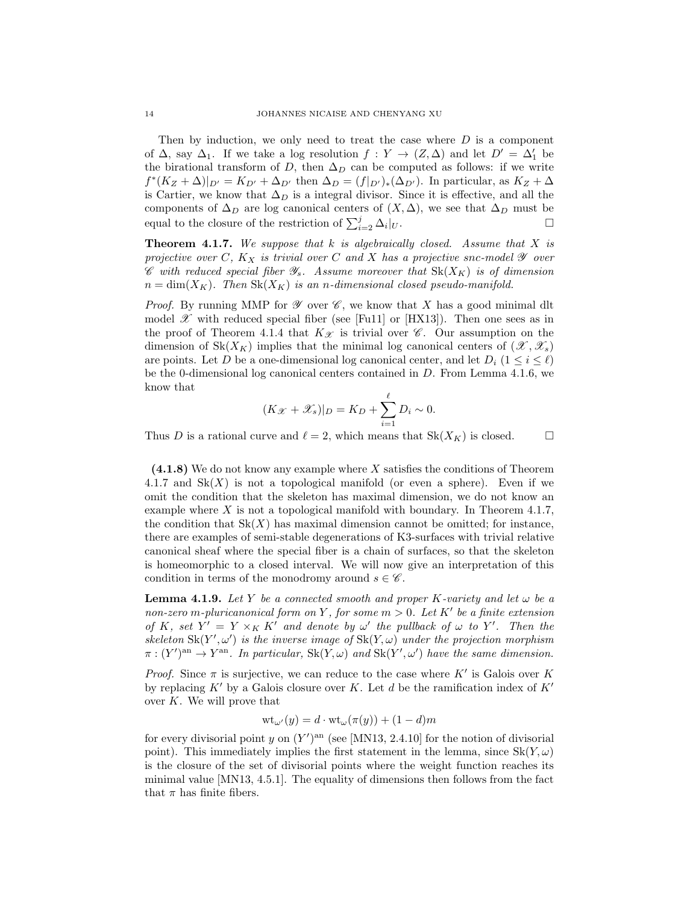Then by induction, we only need to treat the case where  $D$  is a component of  $\Delta$ , say  $\Delta_1$ . If we take a log resolution  $f: Y \to (Z, \Delta)$  and let  $D' = \Delta'_1$  be the birational transform of D, then  $\Delta_D$  can be computed as follows: if we write  $f^*(K_Z + \Delta)|_{D'} = K_{D'} + \Delta_{D'}$  then  $\Delta_D = (f|_{D'})_*(\Delta_{D'})$ . In particular, as  $K_Z + \Delta$ is Cartier, we know that  $\Delta_D$  is a integral divisor. Since it is effective, and all the components of  $\Delta_D$  are log canonical centers of  $(X, \Delta)$ , we see that  $\Delta_D$  must be equal to the closure of the restriction of  $\sum_{i=2}^{j} \Delta_i$  $|_U.$ 

**Theorem 4.1.7.** We suppose that k is algebraically closed. Assume that X is projective over C,  $K_X$  is trivial over C and X has a projective snc-model  $\mathscr Y$  over  $\mathscr C$  with reduced special fiber  $\mathscr Y_s$ . Assume moreover that  $Sk(X_K)$  is of dimension  $n = \dim(X_K)$ . Then  $Sk(X_K)$  is an n-dimensional closed pseudo-manifold.

*Proof.* By running MMP for  $\mathscr Y$  over  $\mathscr C$ , we know that X has a good minimal dlt model  $\mathscr X$  with reduced special fiber (see [Fu11] or [HX13]). Then one sees as in the proof of Theorem 4.1.4 that  $K_{\mathscr{X}}$  is trivial over  $\mathscr{C}$ . Our assumption on the dimension of  $Sk(X_K)$  implies that the minimal log canonical centers of  $(\mathscr{X}, \mathscr{X}_s)$ are points. Let D be a one-dimensional log canonical center, and let  $D_i$   $(1 \leq i \leq \ell)$ be the 0-dimensional log canonical centers contained in D. From Lemma 4.1.6, we know that

$$
(K_{\mathcal{X}} + \mathcal{X}_s)|_D = K_D + \sum_{i=1}^{\ell} D_i \sim 0.
$$

Thus D is a rational curve and  $\ell = 2$ , which means that  $Sk(X_K)$  is closed.

(4.1.8) We do not know any example where X satisfies the conditions of Theorem 4.1.7 and  $Sk(X)$  is not a topological manifold (or even a sphere). Even if we omit the condition that the skeleton has maximal dimension, we do not know an example where  $X$  is not a topological manifold with boundary. In Theorem 4.1.7, the condition that  $Sk(X)$  has maximal dimension cannot be omitted; for instance, there are examples of semi-stable degenerations of K3-surfaces with trivial relative canonical sheaf where the special fiber is a chain of surfaces, so that the skeleton is homeomorphic to a closed interval. We will now give an interpretation of this condition in terms of the monodromy around  $s \in \mathscr{C}$ .

**Lemma 4.1.9.** Let Y be a connected smooth and proper K-variety and let  $\omega$  be a non-zero m-pluricanonical form on Y, for some  $m > 0$ . Let K' be a finite extension of K, set  $Y' = Y \times_K K'$  and denote by  $\omega'$  the pullback of  $\omega$  to Y'. Then the skeleton  $\text{Sk}(Y', \omega')$  is the inverse image of  $\text{Sk}(Y, \omega)$  under the projection morphism  $\pi : (Y')^{\text{an}} \to Y^{\text{an}}$ . In particular,  $Sk(Y, \omega)$  and  $Sk(Y', \omega')$  have the same dimension.

*Proof.* Since  $\pi$  is surjective, we can reduce to the case where  $K'$  is Galois over K by replacing K' by a Galois closure over K. Let d be the ramification index of  $K'$ over  $K$ . We will prove that

$$
\mathrm{wt}_{\omega'}(y) = d \cdot \mathrm{wt}_{\omega}(\pi(y)) + (1 - d)m
$$

for every divisorial point y on  $(Y')^{\text{an}}$  (see [MN13, 2.4.10] for the notion of divisorial point). This immediately implies the first statement in the lemma, since  $Sk(Y, \omega)$ is the closure of the set of divisorial points where the weight function reaches its minimal value [MN13, 4.5.1]. The equality of dimensions then follows from the fact that  $\pi$  has finite fibers.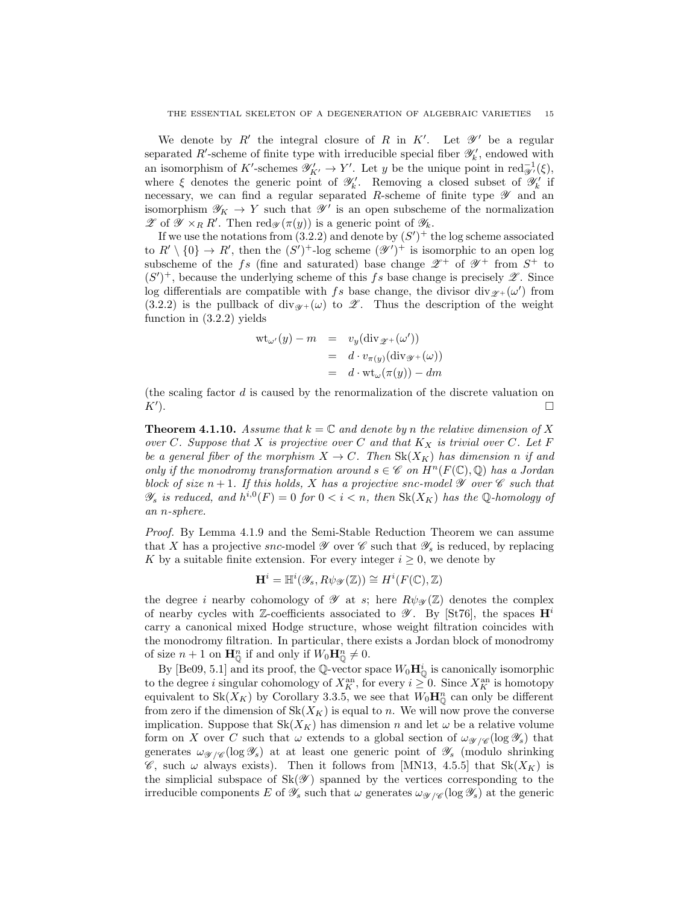We denote by  $R'$  the integral closure of R in K'. Let  $\mathscr{Y}'$  be a regular separated R'-scheme of finite type with irreducible special fiber  $\mathscr{Y}'_k$ , endowed with an isomorphism of K'-schemes  $\mathscr{Y}'_{K'} \to Y'$ . Let y be the unique point in  $\text{red}_{\mathscr{Y}'}^{-1}(\xi)$ , where  $\xi$  denotes the generic point of  $\mathscr{Y}'_k$ . Removing a closed subset of  $\mathscr{Y}'_k$  if necessary, we can find a regular separated R-scheme of finite type  $\mathscr Y$  and an isomorphism  $\mathscr{Y}_K \to Y$  such that  $\mathscr{Y}'$  is an open subscheme of the normalization  $\mathscr{Z}$  of  $\mathscr{Y} \times_R R'$ . Then red $\mathscr{Y}(\pi(y))$  is a generic point of  $\mathscr{Y}_k$ .

If we use the notations from  $(3.2.2)$  and denote by  $(S')^+$  the log scheme associated to  $R' \setminus \{0\} \to R'$ , then the  $(S')^+$ -log scheme  $(\mathscr{Y}')^+$  is isomorphic to an open log subscheme of the fs (fine and saturated) base change  $\mathscr{Z}^+$  of  $\mathscr{Y}^+$  from  $S^+$  to  $(S')^+$ , because the underlying scheme of this fs base change is precisely  $\mathscr{Z}$ . Since log differentials are compatible with fs base change, the divisor div $g_{+}(\omega')$  from (3.2.2) is the pullback of div<sub> $\mathscr{Y}^+(\omega)$ </sub> to  $\mathscr{Z}$ . Thus the description of the weight function in (3.2.2) yields

$$
wt_{\omega'}(y) - m = v_y(\text{div}_{\mathscr{Z}^+}(\omega'))
$$
  
=  $d \cdot v_{\pi(y)}(\text{div}_{\mathscr{Y}^+}(\omega))$   
=  $d \cdot wt_{\omega}(\pi(y)) - dm$ 

(the scaling factor d is caused by the renormalization of the discrete valuation on  $K'$ ). ).  $\Box$ 

**Theorem 4.1.10.** Assume that  $k = \mathbb{C}$  and denote by n the relative dimension of X over C. Suppose that X is projective over C and that  $K_X$  is trivial over C. Let F be a general fiber of the morphism  $X \to C$ . Then  $Sk(X_K)$  has dimension n if and only if the monodromy transformation around  $s \in \mathscr{C}$  on  $H^n(F(\mathbb{C}), \mathbb{Q})$  has a Jordan block of size  $n+1$ . If this holds, X has a projective snc-model  $\mathscr Y$  over  $\mathscr C$  such that  $\mathscr{Y}_s$  is reduced, and  $h^{i,0}(F) = 0$  for  $0 < i < n$ , then  $Sk(X_K)$  has the Q-homology of an n-sphere.

Proof. By Lemma 4.1.9 and the Semi-Stable Reduction Theorem we can assume that X has a projective snc-model  $\mathscr Y$  over  $\mathscr C$  such that  $\mathscr Y_s$  is reduced, by replacing K by a suitable finite extension. For every integer  $i \geq 0$ , we denote by

$$
\mathbf{H}^i = \mathbb{H}^i(\mathscr{Y}_s, R\psi_{\mathscr{Y}}(\mathbb{Z})) \cong H^i(F(\mathbb{C}), \mathbb{Z})
$$

the degree i nearby cohomology of  $\mathscr Y$  at s; here  $R\psi_{\mathscr Y}(\mathbb Z)$  denotes the complex of nearby cycles with Z-coefficients associated to  $\mathscr{Y}$ . By [St76], the spaces  $\mathbf{H}^i$ carry a canonical mixed Hodge structure, whose weight filtration coincides with the monodromy filtration. In particular, there exists a Jordan block of monodromy of size  $n+1$  on  $\mathbf{H}_{\mathbb{Q}}^n$  if and only if  $W_0\mathbf{H}_{\mathbb{Q}}^n \neq 0$ .

By [Be09, 5.1] and its proof, the Q-vector space  $W_0 \mathbf{H}_{\mathbb{Q}}^i$  is canonically isomorphic to the degree *i* singular cohomology of  $X_K^{\text{an}}$ , for every  $i \geq 0$ . Since  $X_K^{\text{an}}$  is homotopy equivalent to  $\text{Sk}(X_K)$  by Corollary 3.3.5, we see that  $W_0 \mathbf{H}_{\mathbb{Q}}^n$  can only be different from zero if the dimension of  $Sk(X_K)$  is equal to n. We will now prove the converse implication. Suppose that  $Sk(X_K)$  has dimension n and let  $\omega$  be a relative volume form on X over C such that  $\omega$  extends to a global section of  $\omega_{\mathscr{Y}/\mathscr{C}}(\log \mathscr{Y}_{s})$  that generates  $\omega_{\mathscr{Y}/\mathscr{C}}(\log \mathscr{Y}_s)$  at at least one generic point of  $\mathscr{Y}_s$  (modulo shrinking  $\mathscr{C}$ , such  $\omega$  always exists). Then it follows from [MN13, 4.5.5] that  $Sk(X_K)$  is the simplicial subspace of  $Sk(\mathscr{Y})$  spanned by the vertices corresponding to the irreducible components E of  $\mathscr{Y}_s$  such that  $\omega$  generates  $\omega_{\mathscr{Y}/\mathscr{C}}(\log \mathscr{Y}_s)$  at the generic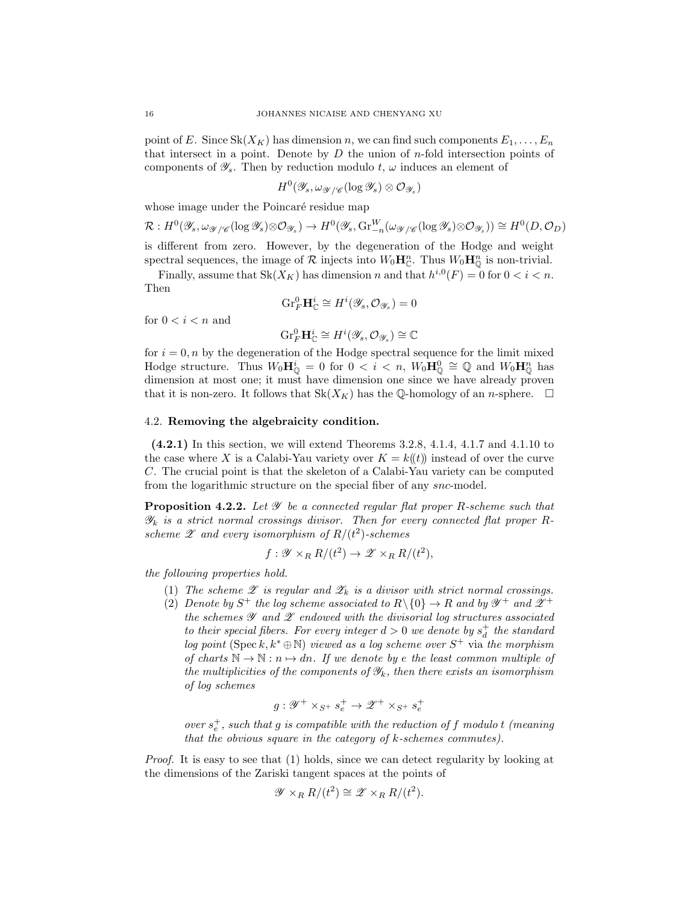point of E. Since  $Sk(X_K)$  has dimension n, we can find such components  $E_1, \ldots, E_n$ that intersect in a point. Denote by  $D$  the union of  $n$ -fold intersection points of components of  $\mathscr{Y}_s$ . Then by reduction modulo t,  $\omega$  induces an element of

$$
H^0(\mathscr{Y}_s, \omega_{\mathscr{Y}/\mathscr{C}}(\log \mathscr{Y}_s) \otimes \mathcal{O}_{\mathscr{Y}_s})
$$

whose image under the Poincaré residue map

$$
\mathcal{R}: H^{0}(\mathscr{Y}_{s}, \omega_{\mathscr{Y}/\mathscr{C}}(\log \mathscr{Y}_{s}) \otimes \mathcal{O}_{\mathscr{Y}_{s}}) \to H^{0}(\mathscr{Y}_{s}, \text{Gr}_{-n}^{W}(\omega_{\mathscr{Y}/\mathscr{C}}(\log \mathscr{Y}_{s}) \otimes \mathcal{O}_{\mathscr{Y}_{s}})) \cong H^{0}(D, \mathcal{O}_{D})
$$

is different from zero. However, by the degeneration of the Hodge and weight spectral sequences, the image of  $\mathcal R$  injects into  $W_0 \mathbf{H}_{\mathbb C}^n$ . Thus  $W_0 \mathbf{H}_{\mathbb Q}^n$  is non-trivial.

Finally, assume that  $Sk(X_K)$  has dimension n and that  $h^{i,0}(F) = 0$  for  $0 < i < n$ . Then

$$
\mathrm{Gr}_F^0 \mathbf{H}_{\mathbb{C}}^i \cong H^i(\mathscr{Y}_s, \mathcal{O}_{\mathscr{Y}_s}) = 0
$$

for  $0 < i < n$  and

$$
\mathrm{Gr}_F^0 \mathbf{H}_{\mathbb{C}}^i \cong H^i(\mathscr{Y}_s, \mathcal{O}_{\mathscr{Y}_s}) \cong \mathbb{C}
$$

for  $i = 0, n$  by the degeneration of the Hodge spectral sequence for the limit mixed Hodge structure. Thus  $W_0 \mathbf{H}_{\mathbb{Q}}^i = 0$  for  $0 < i < n$ ,  $W_0 \mathbf{H}_{\mathbb{Q}}^0 \cong \mathbb{Q}$  and  $W_0 \mathbf{H}_{\mathbb{Q}}^n$  has dimension at most one; it must have dimension one since we have already proven that it is non-zero. It follows that  $Sk(X_K)$  has the Q-homology of an n-sphere.  $\square$ 

# 4.2. Removing the algebraicity condition.

(4.2.1) In this section, we will extend Theorems 3.2.8, 4.1.4, 4.1.7 and 4.1.10 to the case where X is a Calabi-Yau variety over  $K = k(\ell)$  instead of over the curve C. The crucial point is that the skeleton of a Calabi-Yau variety can be computed from the logarithmic structure on the special fiber of any snc-model.

**Proposition 4.2.2.** Let  $\mathscr Y$  be a connected regular flat proper R-scheme such that  $\mathscr{Y}_k$  is a strict normal crossings divisor. Then for every connected flat proper Rscheme  $\mathscr Z$  and every isomorphism of  $R/(t^2)$ -schemes

$$
f: \mathscr{Y} \times_R R/(t^2) \to \mathscr{Z} \times_R R/(t^2),
$$

the following properties hold.

- (1) The scheme  $\mathscr E$  is regular and  $\mathscr Z_k$  is a divisor with strict normal crossings.
- (2) Denote by  $S^+$  the log scheme associated to  $R \setminus \{0\} \to R$  and by  $\mathscr{Y}^+$  and  $\mathscr{Z}^+$ the schemes  $\mathscr Y$  and  $\mathscr Z$  endowed with the divisorial log structures associated to their special fibers. For every integer  $d > 0$  we denote by  $s_d^+$  the standard log point (Spec k,  $k^* \oplus \mathbb{N}$ ) viewed as a log scheme over  $S^+$  via the morphism of charts  $\mathbb{N} \to \mathbb{N} : n \mapsto dn$ . If we denote by e the least common multiple of the multiplicities of the components of  $\mathscr{Y}_k$ , then there exists an isomorphism of log schemes

$$
g: \mathscr{Y}^+ \times_{S^+} s_e^+ \to \mathscr{Z}^+ \times_{S^+} s_e^+
$$

over  $s_e^+$ , such that g is compatible with the reduction of f modulo t (meaning that the obvious square in the category of  $k$ -schemes commutes).

Proof. It is easy to see that (1) holds, since we can detect regularity by looking at the dimensions of the Zariski tangent spaces at the points of

$$
\mathscr{Y} \times_R R/(t^2) \cong \mathscr{Z} \times_R R/(t^2).
$$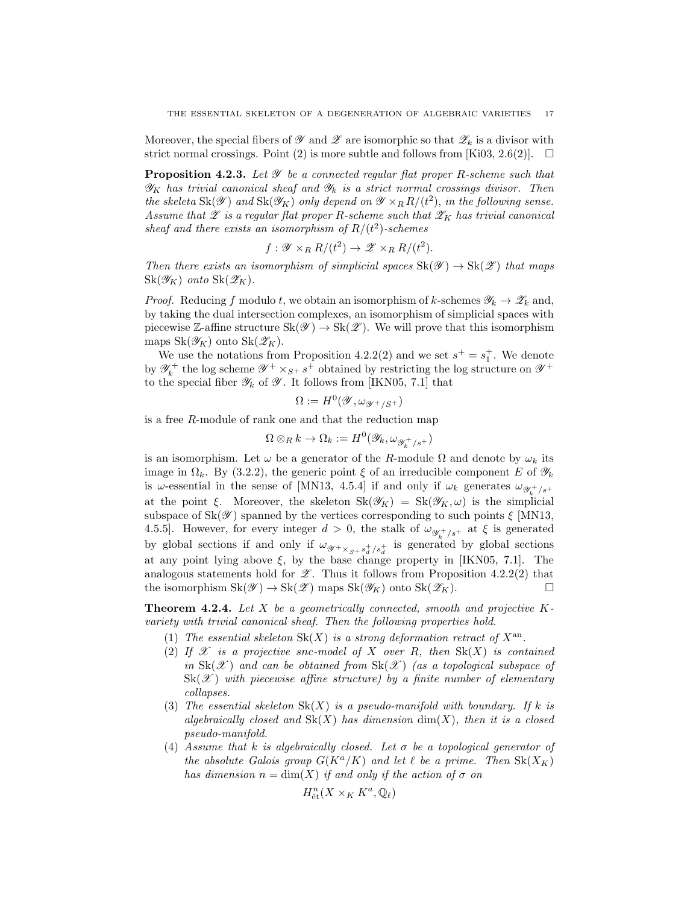Moreover, the special fibers of  $\mathscr Y$  and  $\mathscr Z$  are isomorphic so that  $\mathscr Z_k$  is a divisor with strict normal crossings. Point (2) is more subtle and follows from [Ki03, 2.6(2)].  $\Box$ 

**Proposition 4.2.3.** Let  $\mathscr Y$  be a connected regular flat proper R-scheme such that  $\mathscr{Y}_K$  has trivial canonical sheaf and  $\mathscr{Y}_k$  is a strict normal crossings divisor. Then the skeleta  $\text{Sk}(\mathscr{Y})$  and  $\text{Sk}(\mathscr{Y}_K)$  only depend on  $\mathscr{Y} \times_R R/(t^2)$ , in the following sense. Assume that  $\mathscr E$  is a regular flat proper R-scheme such that  $\mathscr Z_K$  has trivial canonical sheaf and there exists an isomorphism of  $R/(t^2)$ -schemes

$$
f: \mathscr{Y} \times_R R/(t^2) \to \mathscr{Z} \times_R R/(t^2).
$$

Then there exists an isomorphism of simplicial spaces  $\text{Sk}(\mathscr{Y}) \to \text{Sk}(\mathscr{Z})$  that maps  $\text{Sk}(\mathscr{Y}_K)$  onto  $\text{Sk}(\mathscr{Z}_K)$ .

*Proof.* Reducing f modulo t, we obtain an isomorphism of k-schemes  $\mathscr{Y}_k \to \mathscr{Z}_k$  and, by taking the dual intersection complexes, an isomorphism of simplicial spaces with piecewise Z-affine structure  $\text{Sk}(\mathscr{Y}) \to \text{Sk}(\mathscr{Z})$ . We will prove that this isomorphism maps  $\text{Sk}(\mathscr{Y}_K)$  onto  $\text{Sk}(\mathscr{Z}_K)$ .

We use the notations from Proposition 4.2.2(2) and we set  $s^+ = s_1^+$ . We denote by  $\mathscr{Y}_k^+$  the log scheme  $\mathscr{Y}^+ \times_{S^+} s^+$  obtained by restricting the log structure on  $\mathscr{Y}^+$ to the special fiber  $\mathscr{Y}_k$  of  $\mathscr{Y}_k$ . It follows from [IKN05, 7.1] that

$$
\Omega:=H^0(\mathscr{Y},\omega_{\mathscr{Y}^+/S^+})
$$

is a free R-module of rank one and that the reduction map

$$
\Omega\otimes_R k\to\Omega_k:=H^0(\mathscr{Y}_k,\omega_{\mathscr{Y}_k^+/s^+})
$$

is an isomorphism. Let  $\omega$  be a generator of the R-module  $\Omega$  and denote by  $\omega_k$  its image in  $\Omega_k$ . By (3.2.2), the generic point  $\xi$  of an irreducible component E of  $\mathscr{Y}_k$ is  $\omega$ -essential in the sense of [MN13, 4.5.4] if and only if  $\omega_k$  generates  $\omega_{\mathscr{Y}_k^+ / s^+}$ at the point ξ. Moreover, the skeleton  $Sk(\mathscr{Y}_K) = Sk(\mathscr{Y}_K, \omega)$  is the simplicial subspace of  $Sk(\mathscr{Y})$  spanned by the vertices corresponding to such points  $\xi$  [MN13, 4.5.5]. However, for every integer  $d > 0$ , the stalk of  $\omega_{\mathscr{Y}_k^+ / s^+}$  at  $\xi$  is generated by global sections if and only if  $\omega_{\mathscr{Y}^+\times_{S^+} s_d^+/s_d^+}$  is generated by global sections at any point lying above  $\xi$ , by the base change property in [IKN05, 7.1]. The analogous statements hold for  $\mathscr{Z}$ . Thus it follows from Proposition 4.2.2(2) that the isomorphism  $\text{Sk}(\mathscr{Y}) \to \text{Sk}(\mathscr{Z})$  maps  $\text{Sk}(\mathscr{Y}_K)$  onto  $\text{Sk}(\mathscr{Z}_K)$ .

**Theorem 4.2.4.** Let X be a geometrically connected, smooth and projective  $K$ variety with trivial canonical sheaf. Then the following properties hold.

- (1) The essential skeleton  $\text{Sk}(X)$  is a strong deformation retract of  $X^{\text{an}}$ .
- (2) If  $\mathscr X$  is a projective snc-model of X over R, then  $\text{Sk}(X)$  is contained in  $Sk(\mathscr{X})$  and can be obtained from  $Sk(\mathscr{X})$  (as a topological subspace of  $\text{Sk}(\mathscr{X})$  with piecewise affine structure) by a finite number of elementary collapses.
- (3) The essential skeleton  $Sk(X)$  is a pseudo-manifold with boundary. If k is algebraically closed and  $Sk(X)$  has dimension  $dim(X)$ , then it is a closed pseudo-manifold.
- (4) Assume that k is algebraically closed. Let  $\sigma$  be a topological generator of the absolute Galois group  $G(K^a/K)$  and let  $\ell$  be a prime. Then  $Sk(X_K)$ has dimension  $n = \dim(X)$  if and only if the action of  $\sigma$  on

$$
H^n_{\text{\'et}}(X\times_K K^a,\mathbb{Q}_\ell)
$$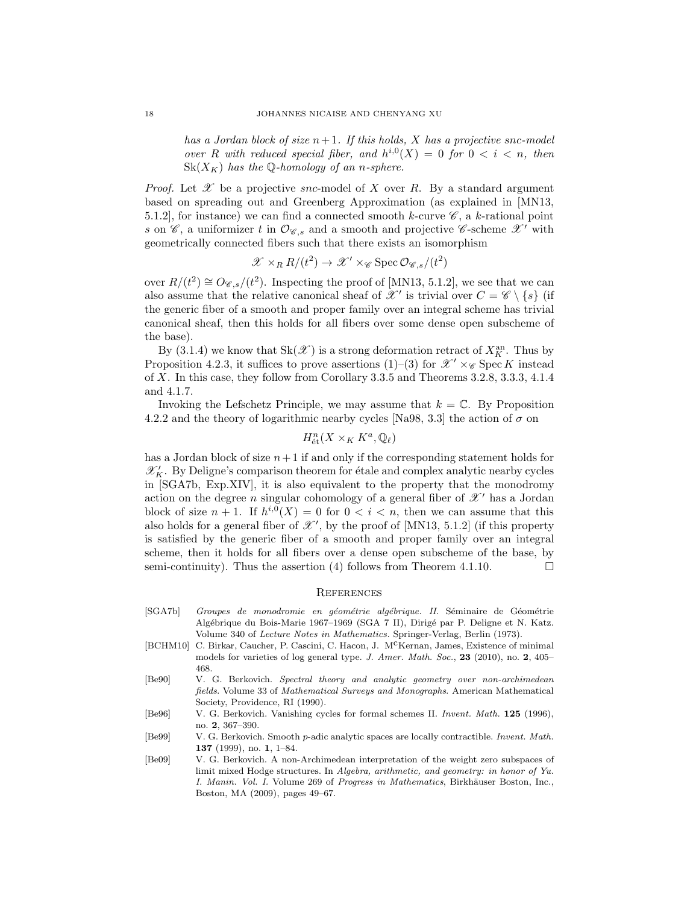has a Jordan block of size  $n+1$ . If this holds, X has a projective snc-model over R with reduced special fiber, and  $h^{i,0}(X) = 0$  for  $0 < i < n$ , then  $\text{Sk}(X_K)$  has the Q-homology of an n-sphere.

*Proof.* Let  $\mathscr X$  be a projective snc-model of X over R. By a standard argument based on spreading out and Greenberg Approximation (as explained in [MN13, 5.1.2], for instance) we can find a connected smooth k-curve  $\mathscr{C}$ , a k-rational point s on  $\mathscr{C}$ , a uniformizer t in  $\mathcal{O}_{\mathscr{C},s}$  and a smooth and projective  $\mathscr{C}$ -scheme  $\mathscr{X}'$  with geometrically connected fibers such that there exists an isomorphism

$$
\mathcal{X} \times_R R/(t^2) \to \mathcal{X}' \times_{\mathcal{C}} \operatorname{Spec} \mathcal{O}_{\mathcal{C},s}/(t^2)
$$

over  $R/(t^2) \cong O_{\mathscr{C},s}/(t^2)$ . Inspecting the proof of [MN13, 5.1.2], we see that we can also assume that the relative canonical sheaf of  $\mathscr{X}'$  is trivial over  $C = \mathscr{C} \setminus \{s\}$  (if the generic fiber of a smooth and proper family over an integral scheme has trivial canonical sheaf, then this holds for all fibers over some dense open subscheme of the base).

By (3.1.4) we know that  $\text{Sk}(\mathscr{X})$  is a strong deformation retract of  $X_K^{\text{an}}$ . Thus by Proposition 4.2.3, it suffices to prove assertions (1)–(3) for  $\mathscr{X}' \times_{\mathscr{C}} \mathrm{Spec} K$  instead of X. In this case, they follow from Corollary 3.3.5 and Theorems 3.2.8, 3.3.3, 4.1.4 and 4.1.7.

Invoking the Lefschetz Principle, we may assume that  $k = \mathbb{C}$ . By Proposition 4.2.2 and the theory of logarithmic nearby cycles [Na98, 3.3] the action of  $\sigma$  on

$$
H^n_{\text{\'et}}(X\times_K K^a,\mathbb{Q}_\ell)
$$

has a Jordan block of size  $n+1$  if and only if the corresponding statement holds for  $\mathscr{X}'_K.$  By Deligne's comparison theorem for étale and complex analytic nearby cycles in [SGA7b, Exp.XIV], it is also equivalent to the property that the monodromy action on the degree n singular cohomology of a general fiber of  $\mathscr{X}'$  has a Jordan block of size  $n+1$ . If  $h^{i,0}(X) = 0$  for  $0 < i < n$ , then we can assume that this also holds for a general fiber of  $\mathscr{X}'$ , by the proof of [MN13, 5.1.2] (if this property is satisfied by the generic fiber of a smooth and proper family over an integral scheme, then it holds for all fibers over a dense open subscheme of the base, by semi-continuity). Thus the assertion (4) follows from Theorem 4.1.10.  $\Box$ 

#### **REFERENCES**

- [SGA7b] *Groupes de monodromie en géométrie algébrique. II*. Séminaire de Géométrie Algébrique du Bois-Marie 1967–1969 (SGA 7 II), Dirigé par P. Deligne et N. Katz. Volume 340 of *Lecture Notes in Mathematics.* Springer-Verlag, Berlin (1973).
- [BCHM10] C. Birkar, Caucher, P. Cascini, C. Hacon, J. M<sup>C</sup>Kernan, James, Existence of minimal models for varieties of log general type. *J. Amer. Math. Soc.*, 23 (2010), no. 2, 405– 468.
- [Be90] V. G. Berkovich. *Spectral theory and analytic geometry over non-archimedean fields*. Volume 33 of *Mathematical Surveys and Monographs*. American Mathematical Society, Providence, RI (1990).
- [Be96] V. G. Berkovich. Vanishing cycles for formal schemes II. *Invent. Math.* 125 (1996), no. 2, 367–390.
- [Be99] V. G. Berkovich. Smooth p-adic analytic spaces are locally contractible. *Invent. Math.* 137 (1999), no. 1, 1–84.
- [Be09] V. G. Berkovich. A non-Archimedean interpretation of the weight zero subspaces of limit mixed Hodge structures. In *Algebra, arithmetic, and geometry: in honor of Yu. I. Manin. Vol. I. Volume 269 of Progress in Mathematics*, Birkhäuser Boston, Inc., Boston, MA (2009), pages 49–67.